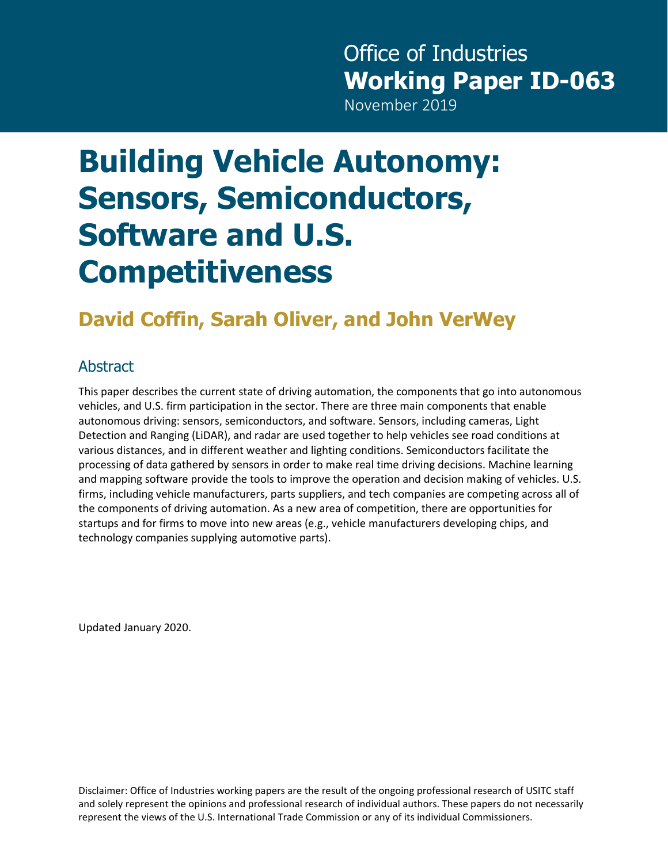## Office of Industries **Working Paper ID-063**

November 2019

# **Building Vehicle Autonomy: Sensors, Semiconductors, Software and U.S. Competitiveness**

## **David Coffin, Sarah Oliver, and John VerWey**

### Abstract

This paper describes the current state of driving automation, the components that go into autonomous vehicles, and U.S. firm participation in the sector. There are three main components that enable autonomous driving: sensors, semiconductors, and software. Sensors, including cameras, Light Detection and Ranging (LiDAR), and radar are used together to help vehicles see road conditions at various distances, and in different weather and lighting conditions. Semiconductors facilitate the processing of data gathered by sensors in order to make real time driving decisions. Machine learning and mapping software provide the tools to improve the operation and decision making of vehicles. U.S. firms, including vehicle manufacturers, parts suppliers, and tech companies are competing across all of the components of driving automation. As a new area of competition, there are opportunities for startups and for firms to move into new areas (e.g., vehicle manufacturers developing chips, and technology companies supplying automotive parts).

Updated January 2020.

Disclaimer: Office of Industries working papers are the result of the ongoing professional research of USITC staff and solely represent the opinions and professional research of individual authors. These papers do not necessarily represent the views of the U.S. International Trade Commission or any of its individual Commissioners.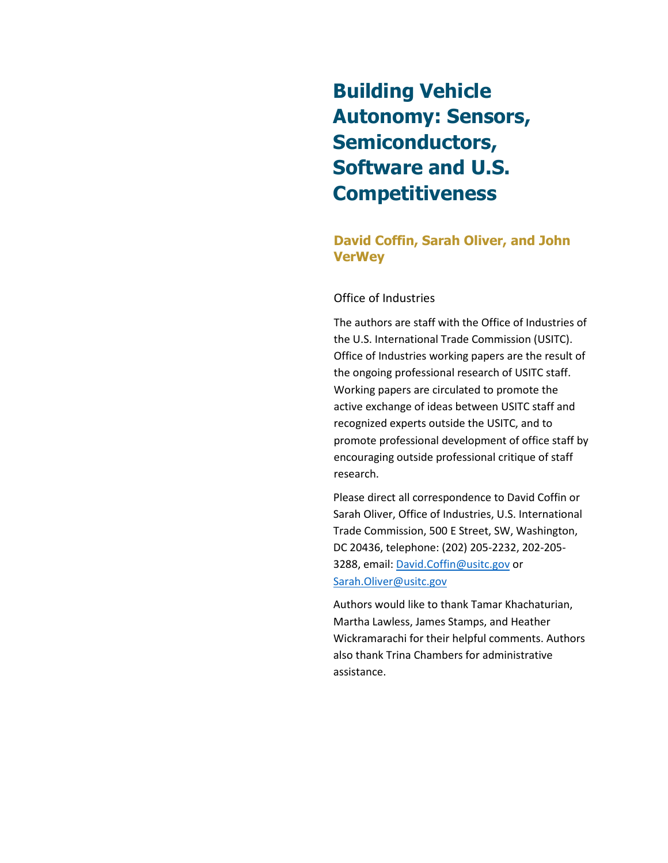## **Building Vehicle Autonomy: Sensors, Semiconductors, Software and U.S. Competitiveness**

#### **David Coffin, Sarah Oliver, and John VerWey**

#### Office of Industries

The authors are staff with the Office of Industries of the U.S. International Trade Commission (USITC). Office of Industries working papers are the result of the ongoing professional research of USITC staff. Working papers are circulated to promote the active exchange of ideas between USITC staff and recognized experts outside the USITC, and to promote professional development of office staff by encouraging outside professional critique of staff research.

Please direct all correspondence to David Coffin or Sarah Oliver, Office of Industries, U.S. International Trade Commission, 500 E Street, SW, Washington, DC 20436, telephone: (202) 205-2232, 202-205- 3288, email: [David.Coffin@usitc.gov](mailto:David.Coffin@usitc.gov) or [Sarah.Oliver@usitc.gov](mailto:Sarah.Oliver@usitc.gov)

Authors would like to thank Tamar Khachaturian, Martha Lawless, James Stamps, and Heather Wickramarachi for their helpful comments. Authors also thank Trina Chambers for administrative assistance.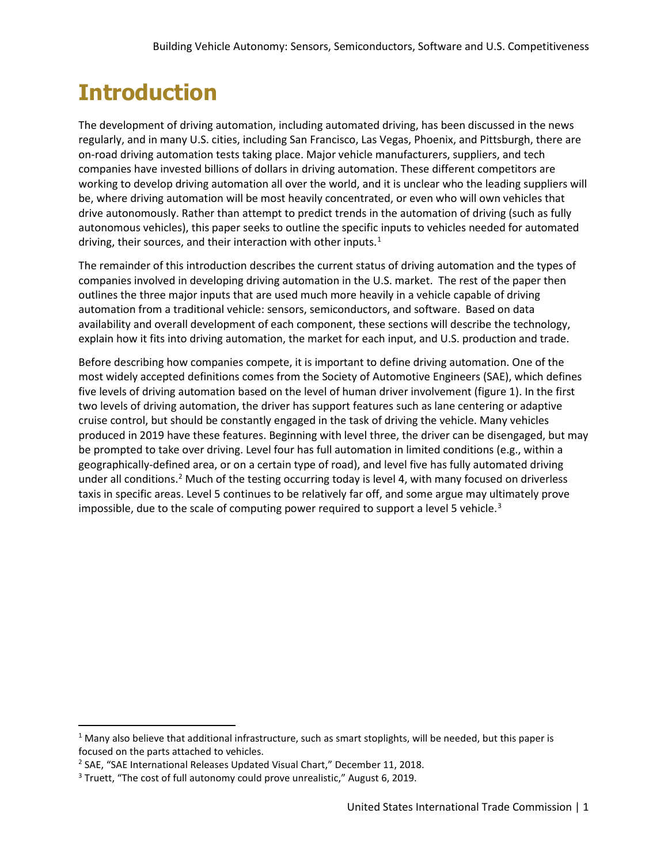## **Introduction**

The development of driving automation, including automated driving, has been discussed in the news regularly, and in many U.S. cities, including San Francisco, Las Vegas, Phoenix, and Pittsburgh, there are on-road driving automation tests taking place. Major vehicle manufacturers, suppliers, and tech companies have invested billions of dollars in driving automation. These different competitors are working to develop driving automation all over the world, and it is unclear who the leading suppliers will be, where driving automation will be most heavily concentrated, or even who will own vehicles that drive autonomously. Rather than attempt to predict trends in the automation of driving (such as fully autonomous vehicles), this paper seeks to outline the specific inputs to vehicles needed for automated driving, their sources, and their interaction with other inputs. $<sup>1</sup>$  $<sup>1</sup>$  $<sup>1</sup>$ </sup>

The remainder of this introduction describes the current status of driving automation and the types of companies involved in developing driving automation in the U.S. market. The rest of the paper then outlines the three major inputs that are used much more heavily in a vehicle capable of driving automation from a traditional vehicle: sensors, semiconductors, and software. Based on data availability and overall development of each component, these sections will describe the technology, explain how it fits into driving automation, the market for each input, and U.S. production and trade.

Before describing how companies compete, it is important to define driving automation. One of the most widely accepted definitions comes from the Society of Automotive Engineers (SAE), which defines five levels of driving automation based on the level of human driver involvement (figure 1). In the first two levels of driving automation, the driver has support features such as lane centering or adaptive cruise control, but should be constantly engaged in the task of driving the vehicle. Many vehicles produced in 2019 have these features. Beginning with level three, the driver can be disengaged, but may be prompted to take over driving. Level four has full automation in limited conditions (e.g., within a geographically-defined area, or on a certain type of road), and level five has fully automated driving under all conditions.<sup>[2](#page-2-1)</sup> Much of the testing occurring today is level 4, with many focused on driverless taxis in specific areas. Level 5 continues to be relatively far off, and some argue may ultimately prove impossible, due to the scale of computing power required to support a level 5 vehicle. $3$ 

<span id="page-2-0"></span> $1$  Many also believe that additional infrastructure, such as smart stoplights, will be needed, but this paper is focused on the parts attached to vehicles.

<span id="page-2-1"></span><sup>&</sup>lt;sup>2</sup> SAE, "SAE International Releases Updated Visual Chart," December 11, 2018.

<span id="page-2-2"></span><sup>&</sup>lt;sup>3</sup> Truett, "The cost of full autonomy could prove unrealistic," August 6, 2019.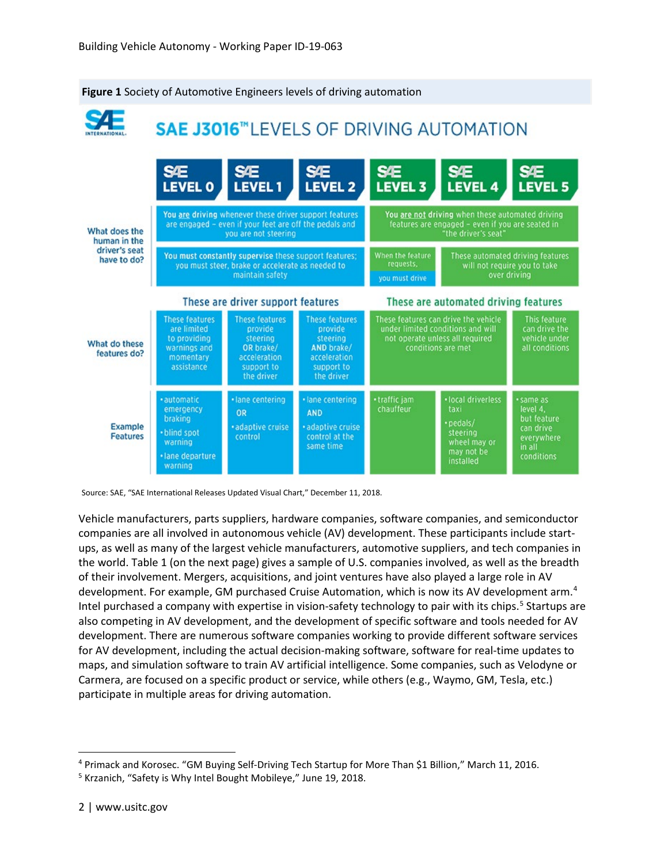

#### **Figure 1** Society of Automotive Engineers levels of driving automation

Source: SAE, "SAE International Releases Updated Visual Chart," December 11, 2018.

Vehicle manufacturers, parts suppliers, hardware companies, software companies, and semiconductor companies are all involved in autonomous vehicle (AV) development. These participants include startups, as well as many of the largest vehicle manufacturers, automotive suppliers, and tech companies in the world. Table 1 (on the next page) gives a sample of U.S. companies involved, as well as the breadth of their involvement. Mergers, acquisitions, and joint ventures have also played a large role in AV development. For example, GM purchased Cruise Automation, which is now its AV development arm.<sup>[4](#page-3-0)</sup> Intel purchased a company with expertise in vision-safety technology to pair with its chips.<sup>[5](#page-3-1)</sup> Startups are also competing in AV development, and the development of specific software and tools needed for AV development. There are numerous software companies working to provide different software services for AV development, including the actual decision-making software, software for real-time updates to maps, and simulation software to train AV artificial intelligence. Some companies, such as Velodyne or Carmera, are focused on a specific product or service, while others (e.g., Waymo, GM, Tesla, etc.) participate in multiple areas for driving automation.

<span id="page-3-0"></span><sup>&</sup>lt;sup>4</sup> Primack and Korosec. "GM Buying Self-Driving Tech Startup for More Than \$1 Billion," March 11, 2016.<br><sup>5</sup> Krzanich, "Safety is Why Intel Bought Mobileye," June 19, 2018.

<span id="page-3-1"></span>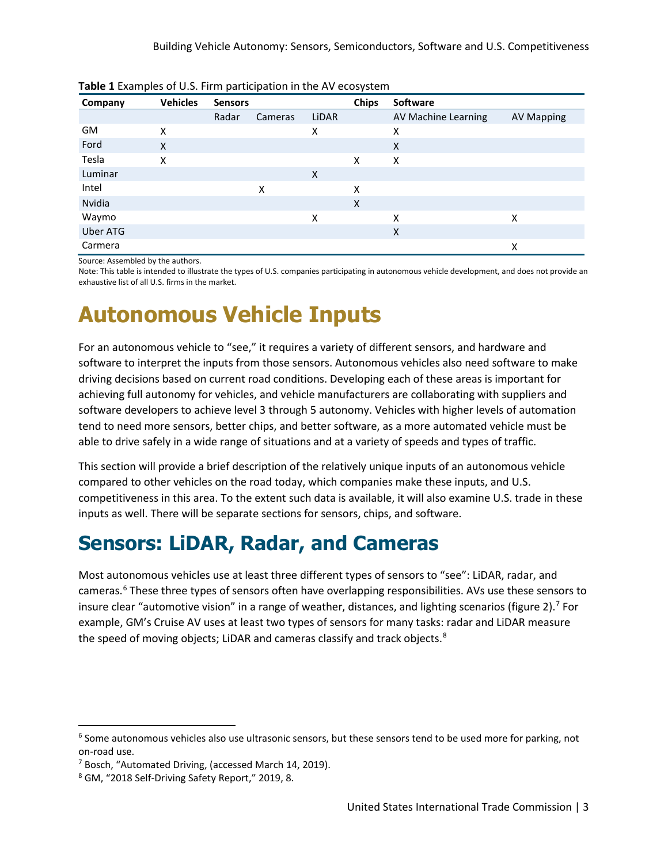| <b>TWIC &amp; ENGINEERS OF 0.0. FILLIP POLICIPATION IN THE 717 CCOPY SECTION</b> |                 |                |         |       |              |                     |                   |
|----------------------------------------------------------------------------------|-----------------|----------------|---------|-------|--------------|---------------------|-------------------|
| Company                                                                          | <b>Vehicles</b> | <b>Sensors</b> |         |       | <b>Chips</b> | Software            |                   |
|                                                                                  |                 | Radar          | Cameras | LIDAR |              | AV Machine Learning | <b>AV Mapping</b> |
| GM                                                                               | X               |                |         | x     |              | X                   |                   |
| Ford                                                                             | X               |                |         |       |              | X                   |                   |
| Tesla                                                                            | X               |                |         |       | X            | X                   |                   |
| Luminar                                                                          |                 |                |         | X     |              |                     |                   |
| Intel                                                                            |                 |                | X       |       | Χ            |                     |                   |
| Nvidia                                                                           |                 |                |         |       | X            |                     |                   |
| Waymo                                                                            |                 |                |         | X     |              | x                   | Χ                 |
| <b>Uber ATG</b>                                                                  |                 |                |         |       |              | X                   |                   |
| Carmera                                                                          |                 |                |         |       |              |                     | х                 |

**Table 1** Examples of U.S. Firm participation in the AV ecosystem

Source: Assembled by the authors.

Note: This table is intended to illustrate the types of U.S. companies participating in autonomous vehicle development, and does not provide an exhaustive list of all U.S. firms in the market.

## **Autonomous Vehicle Inputs**

For an autonomous vehicle to "see," it requires a variety of different sensors, and hardware and software to interpret the inputs from those sensors. Autonomous vehicles also need software to make driving decisions based on current road conditions. Developing each of these areas is important for achieving full autonomy for vehicles, and vehicle manufacturers are collaborating with suppliers and software developers to achieve level 3 through 5 autonomy. Vehicles with higher levels of automation tend to need more sensors, better chips, and better software, as a more automated vehicle must be able to drive safely in a wide range of situations and at a variety of speeds and types of traffic.

This section will provide a brief description of the relatively unique inputs of an autonomous vehicle compared to other vehicles on the road today, which companies make these inputs, and U.S. competitiveness in this area. To the extent such data is available, it will also examine U.S. trade in these inputs as well. There will be separate sections for sensors, chips, and software.

### **Sensors: LiDAR, Radar, and Cameras**

Most autonomous vehicles use at least three different types of sensors to "see": LiDAR, radar, and cameras.[6](#page-4-0) These three types of sensors often have overlapping responsibilities. AVs use these sensors to insure clear "automotive vision" in a range of weather, distances, and lighting scenarios (figure 2).[7](#page-4-1) For example, GM's Cruise AV uses at least two types of sensors for many tasks: radar and LiDAR measure the speed of moving objects; LiDAR and cameras classify and track objects.<sup>[8](#page-4-2)</sup>

<span id="page-4-0"></span><sup>&</sup>lt;sup>6</sup> Some autonomous vehicles also use ultrasonic sensors, but these sensors tend to be used more for parking, not on-road use.

<span id="page-4-1"></span><sup>&</sup>lt;sup>7</sup> Bosch, "Automated Driving, (accessed March 14, 2019).

<span id="page-4-2"></span><sup>8</sup> GM, "2018 Self-Driving Safety Report," 2019, 8.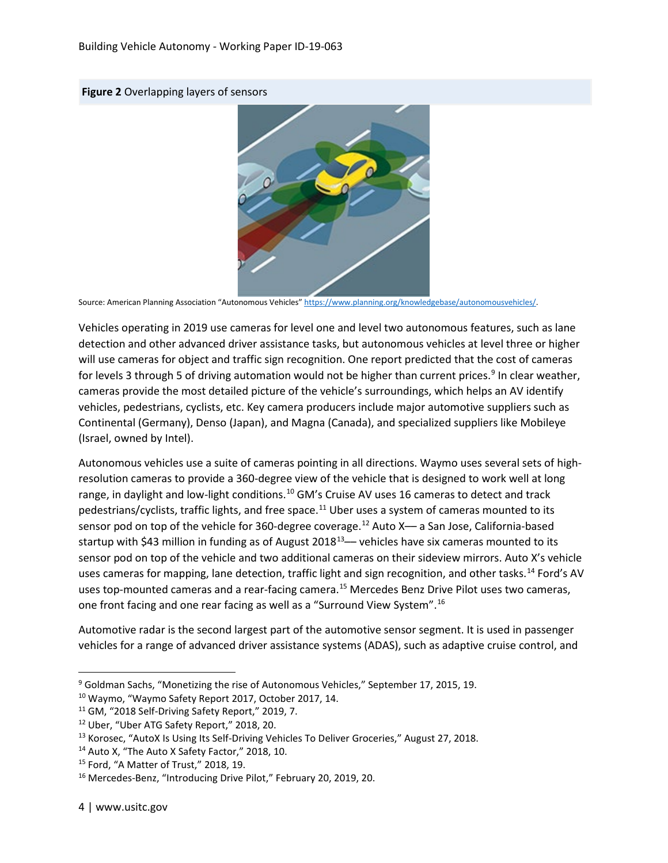



Source: American Planning Association "Autonomous Vehicles[" https://www.planning.org/knowledgebase/autonomousvehicles/.](https://www.planning.org/knowledgebase/autonomousvehicles/)

Vehicles operating in 2019 use cameras for level one and level two autonomous features, such as lane detection and other advanced driver assistance tasks, but autonomous vehicles at level three or higher will use cameras for object and traffic sign recognition. One report predicted that the cost of cameras for levels 3 through 5 of driving automation would not be higher than current prices.<sup>[9](#page-5-0)</sup> In clear weather, cameras provide the most detailed picture of the vehicle's surroundings, which helps an AV identify vehicles, pedestrians, cyclists, etc. Key camera producers include major automotive suppliers such as Continental (Germany), Denso (Japan), and Magna (Canada), and specialized suppliers like Mobileye (Israel, owned by Intel).

Autonomous vehicles use a suite of cameras pointing in all directions. Waymo uses several sets of highresolution cameras to provide a 360-degree view of the vehicle that is designed to work well at long range, in daylight and low-light conditions.<sup>[10](#page-5-1)</sup> GM's Cruise AV uses 16 cameras to detect and track pedestrians/cyclists, traffic lights, and free space.<sup>11</sup> Uber uses a system of cameras mounted to its sensor pod on top of the vehicle for 360-degree coverage.<sup>[12](#page-5-3)</sup> Auto  $X$ — a San Jose, California-based startup with \$43 million in funding as of August  $2018^{13}$ — vehicles have six cameras mounted to its sensor pod on top of the vehicle and two additional cameras on their sideview mirrors. Auto X's vehicle uses cameras for mapping, lane detection, traffic light and sign recognition, and other tasks.<sup>[14](#page-5-5)</sup> Ford's AV uses top-mounted cameras and a rear-facing camera.[15](#page-5-6) Mercedes Benz Drive Pilot uses two cameras, one front facing and one rear facing as well as a "Surround View System".[16](#page-5-7)

Automotive radar is the second largest part of the automotive sensor segment. It is used in passenger vehicles for a range of advanced driver assistance systems (ADAS), such as adaptive cruise control, and

<span id="page-5-0"></span> <sup>9</sup> Goldman Sachs, "Monetizing the rise of Autonomous Vehicles," September 17, 2015, 19.

<span id="page-5-1"></span><sup>10</sup> Waymo, "Waymo Safety Report 2017, October 2017, 14.

<span id="page-5-2"></span><sup>&</sup>lt;sup>11</sup> GM, "2018 Self-Driving Safety Report," 2019, 7.

<span id="page-5-4"></span><span id="page-5-3"></span><sup>&</sup>lt;sup>12</sup> Uber, "Uber ATG Safety Report," 2018, 20.<br><sup>13</sup> Korosec, "AutoX Is Using Its Self-Driving Vehicles To Deliver Groceries," August 27, 2018.

<span id="page-5-5"></span><sup>&</sup>lt;sup>14</sup> Auto X, "The Auto X Safety Factor," 2018, 10.

<span id="page-5-6"></span><sup>15</sup> Ford, "A Matter of Trust," 2018, 19.

<span id="page-5-7"></span><sup>&</sup>lt;sup>16</sup> Mercedes-Benz, "Introducing Drive Pilot," February 20, 2019, 20.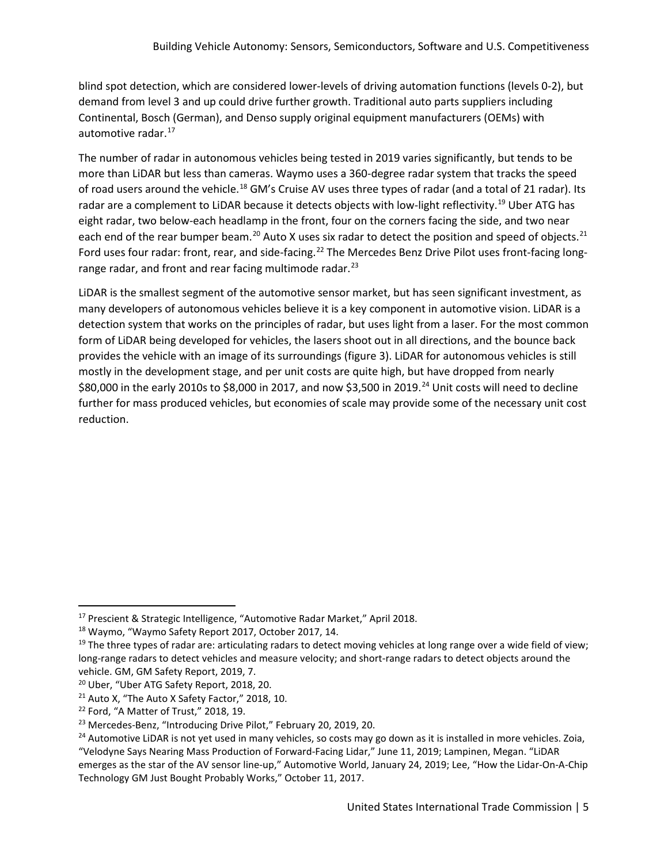blind spot detection, which are considered lower-levels of driving automation functions (levels 0-2), but demand from level 3 and up could drive further growth. Traditional auto parts suppliers including Continental, Bosch (German), and Denso supply original equipment manufacturers (OEMs) with automotive radar.<sup>[17](#page-6-0)</sup>

The number of radar in autonomous vehicles being tested in 2019 varies significantly, but tends to be more than LiDAR but less than cameras. Waymo uses a 360-degree radar system that tracks the speed of road users around the vehicle.<sup>[18](#page-6-1)</sup> GM's Cruise AV uses three types of radar (and a total of 21 radar). Its radar are a complement to LiDAR because it detects objects with low-light reflectivity.<sup>19</sup> Uber ATG has eight radar, two below-each headlamp in the front, four on the corners facing the side, and two near each end of the rear bumper beam.<sup>[20](#page-6-3)</sup> Auto X uses six radar to detect the position and speed of objects.<sup>21</sup> Ford uses four radar: front, rear, and side-facing.<sup>[22](#page-6-5)</sup> The Mercedes Benz Drive Pilot uses front-facing long-range radar, and front and rear facing multimode radar.<sup>[23](#page-6-6)</sup>

LiDAR is the smallest segment of the automotive sensor market, but has seen significant investment, as many developers of autonomous vehicles believe it is a key component in automotive vision. LiDAR is a detection system that works on the principles of radar, but uses light from a laser. For the most common form of LiDAR being developed for vehicles, the lasers shoot out in all directions, and the bounce back provides the vehicle with an image of its surroundings (figure 3). LiDAR for autonomous vehicles is still mostly in the development stage, and per unit costs are quite high, but have dropped from nearly \$80,000 in the early 2010s to \$8,000 in 2017, and now \$3,500 in 2019.<sup>[24](#page-6-7)</sup> Unit costs will need to decline further for mass produced vehicles, but economies of scale may provide some of the necessary unit cost reduction.

<span id="page-6-0"></span> <sup>17</sup> Prescient & Strategic Intelligence, "Automotive Radar Market," April 2018.

<span id="page-6-1"></span><sup>18</sup> Waymo, "Waymo Safety Report 2017, October 2017, 14.

<span id="page-6-2"></span><sup>&</sup>lt;sup>19</sup> The three types of radar are: articulating radars to detect moving vehicles at long range over a wide field of view; long-range radars to detect vehicles and measure velocity; and short-range radars to detect objects around the vehicle. GM, GM Safety Report, 2019, 7.

<span id="page-6-3"></span><sup>20</sup> Uber, "Uber ATG Safety Report, 2018, 20.

<span id="page-6-4"></span><sup>&</sup>lt;sup>21</sup> Auto X, "The Auto X Safety Factor," 2018, 10.

<span id="page-6-5"></span><sup>22</sup> Ford, "A Matter of Trust," 2018, 19.

<span id="page-6-6"></span><sup>&</sup>lt;sup>23</sup> Mercedes-Benz, "Introducing Drive Pilot," February 20, 2019, 20.

<span id="page-6-7"></span> $24$  Automotive LiDAR is not yet used in many vehicles, so costs may go down as it is installed in more vehicles. Zoia,

<sup>&</sup>quot;Velodyne Says Nearing Mass Production of Forward-Facing Lidar," June 11, 2019; Lampinen, Megan. "LiDAR emerges as the star of the AV sensor line-up," Automotive World, January 24, 2019; Lee, "How the Lidar-On-A-Chip Technology GM Just Bought Probably Works," October 11, 2017.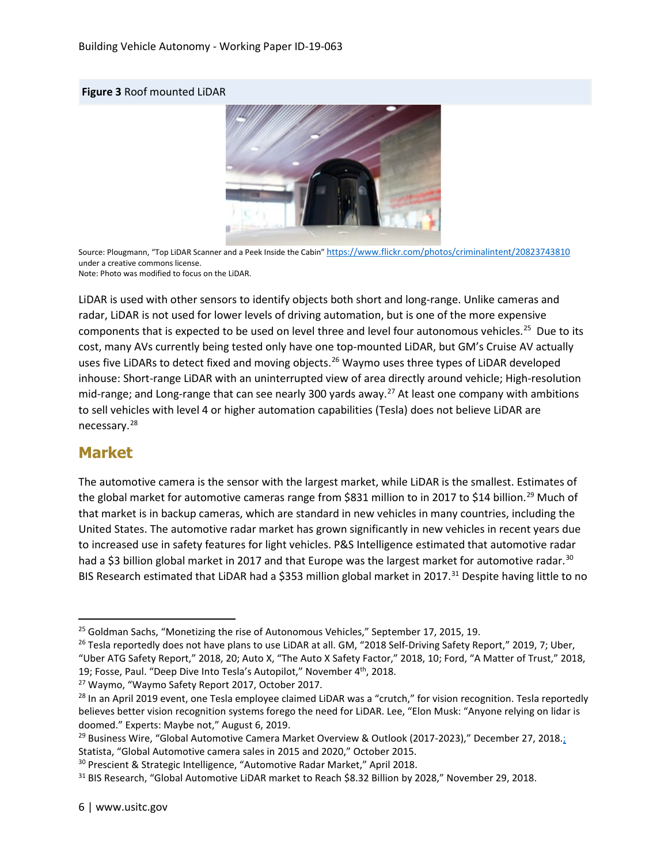#### **Figure 3** Roof mounted LiDAR



Source: Plougmann, "Top LiDAR Scanner and a Peek Inside the Cabin" <https://www.flickr.com/photos/criminalintent/20823743810> under a creative commons license.

Note: Photo was modified to focus on the LiDAR.

LiDAR is used with other sensors to identify objects both short and long-range. Unlike cameras and radar, LiDAR is not used for lower levels of driving automation, but is one of the more expensive components that is expected to be used on level three and level four autonomous vehicles.<sup>[25](#page-7-0)</sup> Due to its cost, many AVs currently being tested only have one top-mounted LiDAR, but GM's Cruise AV actually uses five LiDARs to detect fixed and moving objects.<sup>[26](#page-7-1)</sup> Waymo uses three types of LiDAR developed inhouse: Short-range LiDAR with an uninterrupted view of area directly around vehicle; High-resolution mid-range; and Long-range that can see nearly 300 yards away.<sup>[27](#page-7-2)</sup> At least one company with ambitions to sell vehicles with level 4 or higher automation capabilities (Tesla) does not believe LiDAR are necessary.[28](#page-7-3)

#### **Market**

The automotive camera is the sensor with the largest market, while LiDAR is the smallest. Estimates of the global market for automotive cameras range from \$831 million to in 2017 to \$14 billion.<sup>[29](#page-7-4)</sup> Much of that market is in backup cameras, which are standard in new vehicles in many countries, including the United States. The automotive radar market has grown significantly in new vehicles in recent years due to increased use in safety features for light vehicles. P&S Intelligence estimated that automotive radar had a \$3 billion global market in 2017 and that Europe was the largest market for automotive radar.<sup>[30](#page-7-5)</sup> BIS Research estimated that LiDAR had a \$353 million global market in 2017.<sup>[31](#page-7-6)</sup> Despite having little to no

<span id="page-7-1"></span><span id="page-7-0"></span><sup>&</sup>lt;sup>25</sup> Goldman Sachs, "Monetizing the rise of Autonomous Vehicles," September 17, 2015, 19.<br><sup>26</sup> Tesla reportedly does not have plans to use LiDAR at all. GM, "2018 Self-Driving Safety Report," 2019, 7; Uber, "Uber ATG Safety Report," 2018, 20; Auto X, "The Auto X Safety Factor," 2018, 10; Ford, "A Matter of Trust," 2018, 19; Fosse, Paul. "Deep Dive Into Tesla's Autopilot," November 4<sup>th</sup>, 2018.

<span id="page-7-3"></span><span id="page-7-2"></span><sup>&</sup>lt;sup>27</sup> Waymo, "Waymo Safety Report 2017, October 2017.<br><sup>28</sup> In an April 2019 event, one Tesla employee claimed LiDAR was a "crutch," for vision recognition. Tesla reportedly believes better vision recognition systems forego the need for LiDAR. Lee, "Elon Musk: "Anyone relying on lidar is doomed." Experts: Maybe not," August 6, 2019.

<span id="page-7-4"></span><sup>&</sup>lt;sup>29</sup> Business Wire, "Global Automotive Camera Market Overview & Outlook (2017-2023)," December 27, 2018.; Statista, "Global Automotive camera sales in 2015 and 2020," October 2015.<br><sup>30</sup> Prescient & Strategic Intelligence, "Automotive Radar Market," April 2018.<br><sup>31</sup> BIS Research, "Global Automotive LiDAR market to Reach \$8.32 B

<span id="page-7-5"></span>

<span id="page-7-6"></span>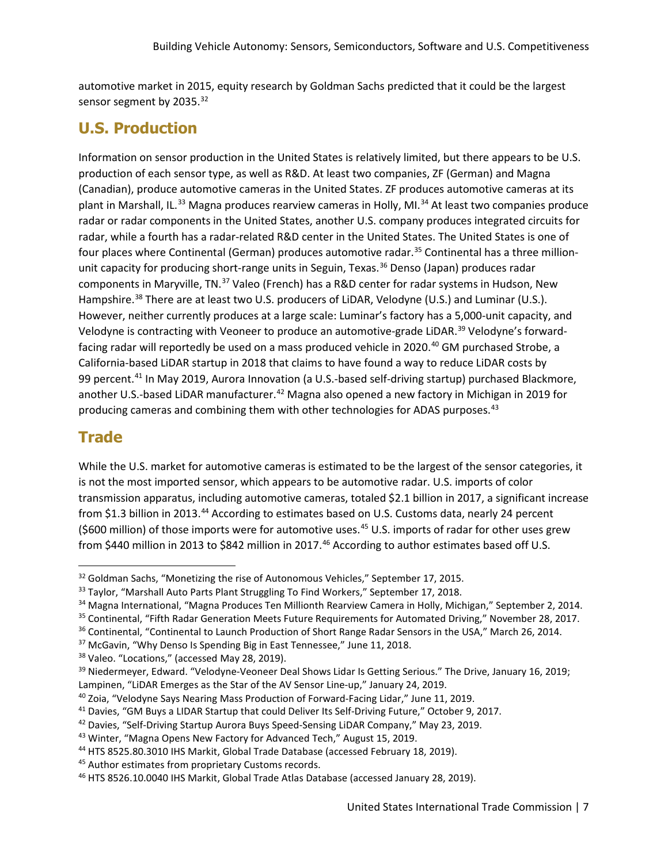automotive market in 2015, equity research by Goldman Sachs predicted that it could be the largest sensor segment by 2035.<sup>[32](#page-8-0)</sup>

### **U.S. Production**

Information on sensor production in the United States is relatively limited, but there appears to be U.S. production of each sensor type, as well as R&D. At least two companies, ZF (German) and Magna (Canadian), produce automotive cameras in the United States. ZF produces automotive cameras at its plant in Marshall, IL.<sup>[33](#page-8-1)</sup> Magna produces rearview cameras in Holly, MI.<sup>[34](#page-8-2)</sup> At least two companies produce radar or radar components in the United States, another U.S. company produces integrated circuits for radar, while a fourth has a radar-related R&D center in the United States. The United States is one of four places where Continental (German) produces automotive radar.<sup>[35](#page-8-3)</sup> Continental has a three million-unit capacity for producing short-range units in Seguin, Texas.<sup>[36](#page-8-4)</sup> Denso (Japan) produces radar components in Maryville, TN.[37](#page-8-5) Valeo (French) has a R&D center for radar systems in Hudson, New Hampshire.<sup>[38](#page-8-6)</sup> There are at least two U.S. producers of LiDAR, Velodyne (U.S.) and Luminar (U.S.). However, neither currently produces at a large scale: Luminar's factory has a 5,000-unit capacity, and Velodyne is contracting with Veoneer to produce an automotive-grade LiDAR.<sup>[39](#page-8-7)</sup> Velodyne's forward-facing radar will reportedly be used on a mass produced vehicle in 2020.<sup>[40](#page-8-8)</sup> GM purchased Strobe, a California-based LiDAR startup in 2018 that claims to have found a way to reduce LiDAR costs by 99 percent.<sup>[41](#page-8-9)</sup> In May 2019, Aurora Innovation (a U.S.-based self-driving startup) purchased Blackmore, another U.S.-based LiDAR manufacturer.<sup>[42](#page-8-10)</sup> Magna also opened a new factory in Michigan in 2019 for producing cameras and combining them with other technologies for ADAS purposes.<sup>[43](#page-8-11)</sup>

### **Trade**

While the U.S. market for automotive cameras is estimated to be the largest of the sensor categories, it is not the most imported sensor, which appears to be automotive radar. U.S. imports of color transmission apparatus, including automotive cameras, totaled \$2.1 billion in 2017, a significant increase from \$1.3 billion in 2013.[44](#page-8-12) According to estimates based on U.S. Customs data, nearly 24 percent (\$600 million) of those imports were for automotive uses.<sup>[45](#page-8-13)</sup> U.S. imports of radar for other uses grew from \$440 million in 2013 to \$842 million in 2017.<sup>[46](#page-8-14)</sup> According to author estimates based off U.S.

<span id="page-8-2"></span><span id="page-8-1"></span>

<span id="page-8-0"></span><sup>&</sup>lt;sup>32</sup> Goldman Sachs, "Monetizing the rise of Autonomous Vehicles," September 17, 2015.<br><sup>33</sup> Taylor, "Marshall Auto Parts Plant Struggling To Find Workers," September 17, 2018.<br><sup>34</sup> Magna International, "Magna Produces Ten M

<span id="page-8-4"></span><span id="page-8-3"></span><sup>&</sup>lt;sup>36</sup> Continental, "Continental to Launch Production of Short Range Radar Sensors in the USA," March 26, 2014.<br><sup>37</sup> McGavin, "Why Denso Is Spending Big in East Tennessee," June 11, 2018.

<span id="page-8-5"></span>

<span id="page-8-6"></span><sup>&</sup>lt;sup>38</sup> Valeo. "Locations," (accessed May 28, 2019).

<span id="page-8-7"></span><sup>&</sup>lt;sup>39</sup> Niedermeyer, Edward. "Velodyne-Veoneer Deal Shows Lidar Is Getting Serious." The Drive, January 16, 2019; Lampinen, "LiDAR Emerges as the Star of the AV Sensor Line-up," January 24, 2019.<br><sup>40</sup> Zoia, "Velodyne Says Nearing Mass Production of Forward-Facing Lidar," June 11, 2019.

<span id="page-8-8"></span>

<span id="page-8-10"></span><span id="page-8-9"></span><sup>&</sup>lt;sup>41</sup> Davies, "GM Buys a LIDAR Startup that could Deliver Its Self-Driving Future," October 9, 2017.<br><sup>42</sup> Davies, "Self-Driving Startup Aurora Buys Speed-Sensing LiDAR Company," May 23, 2019.

<span id="page-8-12"></span><span id="page-8-11"></span><sup>&</sup>lt;sup>43</sup> Winter, "Magna Opens New Factory for Advanced Tech," August 15, 2019.<br><sup>44</sup> HTS 8525.80.3010 IHS Markit, Global Trade Database (accessed February 18, 2019).

<span id="page-8-13"></span><sup>45</sup> Author estimates from proprietary Customs records.

<span id="page-8-14"></span><sup>46</sup> HTS 8526.10.0040 IHS Markit, Global Trade Atlas Database (accessed January 28, 2019).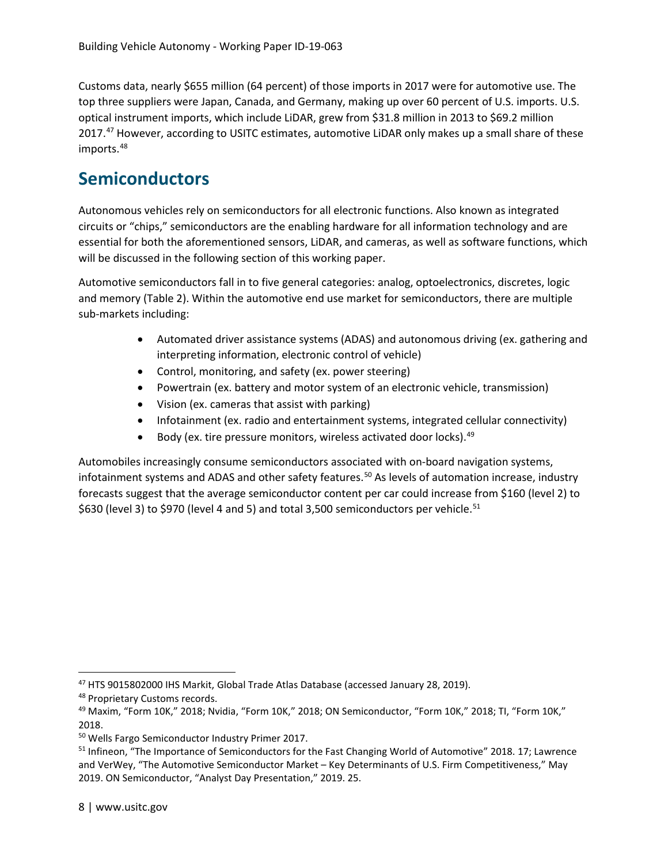Customs data, nearly \$655 million (64 percent) of those imports in 2017 were for automotive use. The top three suppliers were Japan, Canada, and Germany, making up over 60 percent of U.S. imports. U.S. optical instrument imports, which include LiDAR, grew from \$31.8 million in 2013 to \$69.2 million 2017.<sup>[47](#page-9-0)</sup> However, according to USITC estimates, automotive LiDAR only makes up a small share of these imports.<sup>[48](#page-9-1)</sup>

### **Semiconductors**

Autonomous vehicles rely on semiconductors for all electronic functions. Also known as integrated circuits or "chips," semiconductors are the enabling hardware for all information technology and are essential for both the aforementioned sensors, LiDAR, and cameras, as well as software functions, which will be discussed in the following section of this working paper.

Automotive semiconductors fall in to five general categories: analog, optoelectronics, discretes, logic and memory (Table 2). Within the automotive end use market for semiconductors, there are multiple sub-markets including:

- Automated driver assistance systems (ADAS) and autonomous driving (ex. gathering and interpreting information, electronic control of vehicle)
- Control, monitoring, and safety (ex. power steering)
- Powertrain (ex. battery and motor system of an electronic vehicle, transmission)
- Vision (ex. cameras that assist with parking)
- Infotainment (ex. radio and entertainment systems, integrated cellular connectivity)
- Body (ex. tire pressure monitors, wireless activated door locks).<sup>[49](#page-9-2)</sup>

Automobiles increasingly consume semiconductors associated with on-board navigation systems, infotainment systems and ADAS and other safety features.<sup>[50](#page-9-3)</sup> As levels of automation increase, industry forecasts suggest that the average semiconductor content per car could increase from \$160 (level 2) to \$630 (level 3) to \$970 (level 4 and 5) and total 3,500 semiconductors per vehicle.<sup>[51](#page-9-4)</sup>

<span id="page-9-0"></span> <sup>47</sup> HTS 9015802000 IHS Markit, Global Trade Atlas Database (accessed January 28, 2019).

<span id="page-9-1"></span><sup>48</sup> Proprietary Customs records.

<span id="page-9-2"></span><sup>49</sup> Maxim, "Form 10K," 2018; Nvidia, "Form 10K," 2018; ON Semiconductor, "Form 10K," 2018; TI, "Form 10K," 2018.

<span id="page-9-3"></span><sup>50</sup> Wells Fargo Semiconductor Industry Primer 2017.

<span id="page-9-4"></span><sup>&</sup>lt;sup>51</sup> Infineon, "The Importance of Semiconductors for the Fast Changing World of Automotive" 2018. 17; Lawrence and VerWey, "The Automotive Semiconductor Market – Key Determinants of U.S. Firm Competitiveness," May 2019. ON Semiconductor, "Analyst Day Presentation," 2019. 25.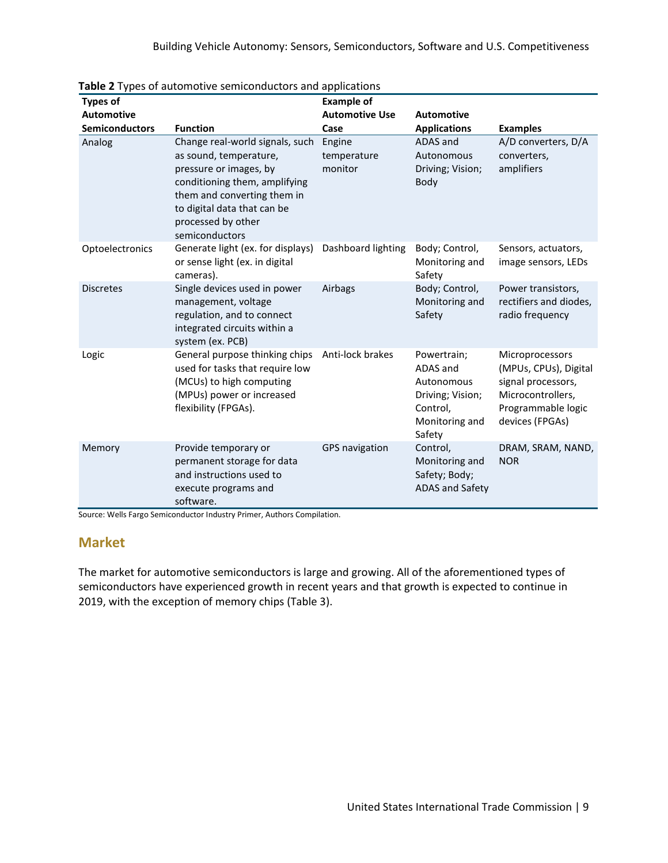| <b>Types of</b>   |                                                                                                                                                                                                                            | <b>Example of</b>                |                                                                                                   |                                                                                                                              |
|-------------------|----------------------------------------------------------------------------------------------------------------------------------------------------------------------------------------------------------------------------|----------------------------------|---------------------------------------------------------------------------------------------------|------------------------------------------------------------------------------------------------------------------------------|
| <b>Automotive</b> |                                                                                                                                                                                                                            | <b>Automotive Use</b>            | <b>Automotive</b>                                                                                 |                                                                                                                              |
| Semiconductors    | <b>Function</b>                                                                                                                                                                                                            | Case                             | <b>Applications</b>                                                                               | <b>Examples</b>                                                                                                              |
| Analog            | Change real-world signals, such<br>as sound, temperature,<br>pressure or images, by<br>conditioning them, amplifying<br>them and converting them in<br>to digital data that can be<br>processed by other<br>semiconductors | Engine<br>temperature<br>monitor | ADAS and<br>Autonomous<br>Driving; Vision;<br>Body                                                | A/D converters, D/A<br>converters,<br>amplifiers                                                                             |
| Optoelectronics   | Generate light (ex. for displays)<br>or sense light (ex. in digital<br>cameras).                                                                                                                                           | Dashboard lighting               | Body; Control,<br>Monitoring and<br>Safety                                                        | Sensors, actuators,<br>image sensors, LEDs                                                                                   |
| <b>Discretes</b>  | Single devices used in power<br>management, voltage<br>regulation, and to connect<br>integrated circuits within a<br>system (ex. PCB)                                                                                      | Airbags                          | Body; Control,<br>Monitoring and<br>Safety                                                        | Power transistors,<br>rectifiers and diodes,<br>radio frequency                                                              |
| Logic             | General purpose thinking chips<br>used for tasks that require low<br>(MCUs) to high computing<br>(MPUs) power or increased<br>flexibility (FPGAs).                                                                         | Anti-lock brakes                 | Powertrain;<br>ADAS and<br>Autonomous<br>Driving; Vision;<br>Control,<br>Monitoring and<br>Safety | Microprocessors<br>(MPUs, CPUs), Digital<br>signal processors,<br>Microcontrollers,<br>Programmable logic<br>devices (FPGAs) |
| Memory            | Provide temporary or<br>permanent storage for data<br>and instructions used to<br>execute programs and<br>software.                                                                                                        | GPS navigation                   | Control,<br>Monitoring and<br>Safety; Body;<br><b>ADAS and Safety</b>                             | DRAM, SRAM, NAND,<br><b>NOR</b>                                                                                              |

**Table 2** Types of automotive semiconductors and applications

Source: Wells Fargo Semiconductor Industry Primer, Authors Compilation.

#### **Market**

The market for automotive semiconductors is large and growing. All of the aforementioned types of semiconductors have experienced growth in recent years and that growth is expected to continue in 2019, with the exception of memory chips (Table 3).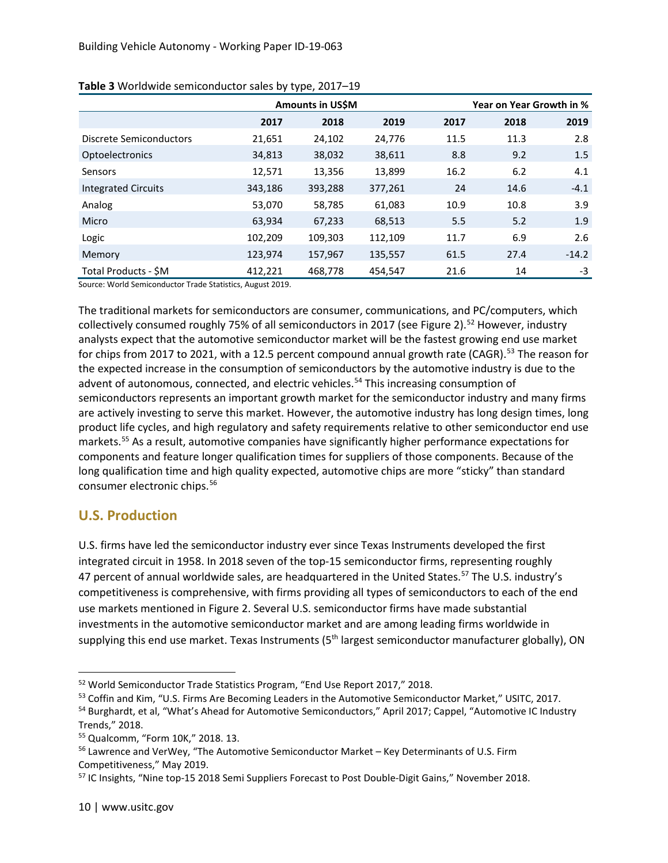|                            |         | . .<br>Amounts in US\$M |         |      | Year on Year Growth in % |         |  |
|----------------------------|---------|-------------------------|---------|------|--------------------------|---------|--|
|                            | 2017    | 2018                    | 2019    | 2017 | 2018                     | 2019    |  |
| Discrete Semiconductors    | 21,651  | 24,102                  | 24,776  | 11.5 | 11.3                     | 2.8     |  |
| Optoelectronics            | 34,813  | 38,032                  | 38,611  | 8.8  | 9.2                      | 1.5     |  |
| Sensors                    | 12,571  | 13,356                  | 13,899  | 16.2 | 6.2                      | 4.1     |  |
| <b>Integrated Circuits</b> | 343,186 | 393,288                 | 377,261 | 24   | 14.6                     | $-4.1$  |  |
| Analog                     | 53,070  | 58,785                  | 61,083  | 10.9 | 10.8                     | 3.9     |  |
| Micro                      | 63,934  | 67,233                  | 68,513  | 5.5  | 5.2                      | 1.9     |  |
| Logic                      | 102,209 | 109,303                 | 112,109 | 11.7 | 6.9                      | 2.6     |  |
| Memory                     | 123,974 | 157,967                 | 135,557 | 61.5 | 27.4                     | $-14.2$ |  |
| Total Products - \$M       | 412,221 | 468,778                 | 454,547 | 21.6 | 14                       | -3      |  |

#### **Table 3** Worldwide semiconductor sales by type, 2017–19

Source: World Semiconductor Trade Statistics, August 2019.

The traditional markets for semiconductors are consumer, communications, and PC/computers, which collectively consumed roughly 75% of all semiconductors in 2017 (see Figure 2).<sup>[52](#page-11-0)</sup> However, industry analysts expect that the automotive semiconductor market will be the fastest growing end use market for chips from 2017 to 2021, with a 12.5 percent compound annual growth rate (CAGR).<sup>[53](#page-11-1)</sup> The reason for the expected increase in the consumption of semiconductors by the automotive industry is due to the advent of autonomous, connected, and electric vehicles.<sup>[54](#page-11-2)</sup> This increasing consumption of semiconductors represents an important growth market for the semiconductor industry and many firms are actively investing to serve this market. However, the automotive industry has long design times, long product life cycles, and high regulatory and safety requirements relative to other semiconductor end use markets.<sup>[55](#page-11-3)</sup> As a result, automotive companies have significantly higher performance expectations for components and feature longer qualification times for suppliers of those components. Because of the long qualification time and high quality expected, automotive chips are more "sticky" than standard consumer electronic chips.<sup>[56](#page-11-4)</sup>

#### **U.S. Production**

U.S. firms have led the semiconductor industry ever since Texas Instruments developed the first integrated circuit in 1958. In 2018 seven of the top-15 semiconductor firms, representing roughly 47 percent of annual worldwide sales, are headquartered in the United States.<sup>[57](#page-11-5)</sup> The U.S. industry's competitiveness is comprehensive, with firms providing all types of semiconductors to each of the end use markets mentioned in Figure 2. Several U.S. semiconductor firms have made substantial investments in the automotive semiconductor market and are among leading firms worldwide in supplying this end use market. Texas Instruments (5<sup>th</sup> largest semiconductor manufacturer globally), ON

<span id="page-11-1"></span><sup>53</sup> Coffin and Kim, "U.S. Firms Are Becoming Leaders in the Automotive Semiconductor Market," USITC, 2017.

<span id="page-11-0"></span> <sup>52</sup> World Semiconductor Trade Statistics Program, "End Use Report 2017," 2018.

<span id="page-11-2"></span><sup>54</sup> Burghardt, et al, "What's Ahead for Automotive Semiconductors," April 2017; Cappel, "Automotive IC Industry Trends," 2018.

<span id="page-11-4"></span><span id="page-11-3"></span><sup>&</sup>lt;sup>55</sup> Qualcomm, "Form 10K," 2018. 13.<br><sup>56</sup> Lawrence and VerWey, "The Automotive Semiconductor Market – Key Determinants of U.S. Firm Competitiveness," May 2019.

<span id="page-11-5"></span><sup>57</sup> IC Insights, "Nine top-15 2018 Semi Suppliers Forecast to Post Double-Digit Gains," November 2018.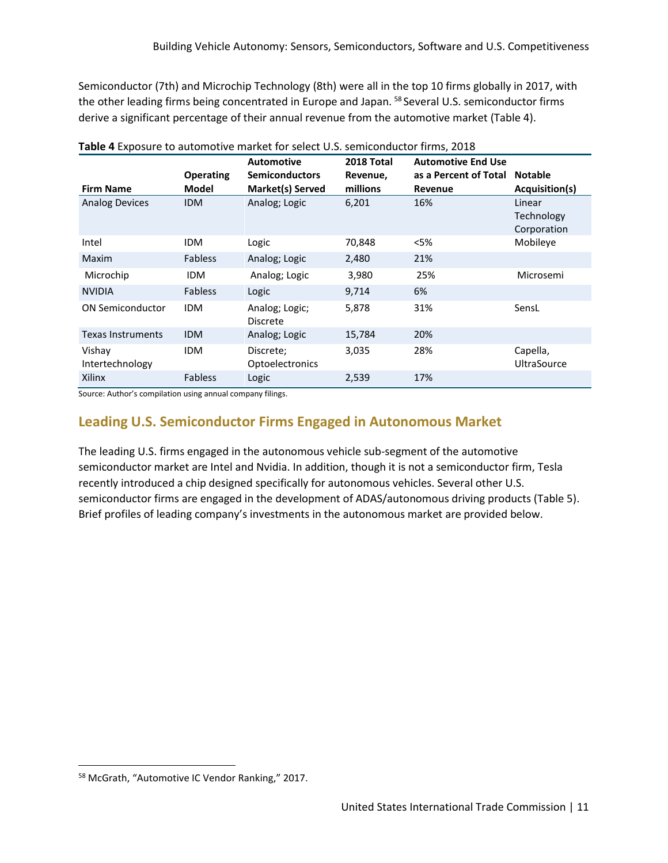Semiconductor (7th) and Microchip Technology (8th) were all in the top 10 firms globally in 2017, with the other leading firms being concentrated in Europe and Japan. <sup>[58](#page-12-0)</sup> Several U.S. semiconductor firms derive a significant percentage of their annual revenue from the automotive market (Table 4).

|                           |                                  | <b>Automotive</b>                         | 2018 Total           | <b>Automotive End Use</b>        |                                     |
|---------------------------|----------------------------------|-------------------------------------------|----------------------|----------------------------------|-------------------------------------|
| <b>Firm Name</b>          | <b>Operating</b><br><b>Model</b> | <b>Semiconductors</b><br>Market(s) Served | Revenue,<br>millions | as a Percent of Total<br>Revenue | <b>Notable</b><br>Acquisition(s)    |
| <b>Analog Devices</b>     | <b>IDM</b>                       | Analog; Logic                             | 6,201                | 16%                              | Linear<br>Technology<br>Corporation |
| Intel                     | <b>IDM</b>                       | Logic                                     | 70,848               | $<$ 5%                           | Mobileye                            |
| Maxim                     | <b>Fabless</b>                   | Analog; Logic                             | 2,480                | 21%                              |                                     |
| Microchip                 | <b>IDM</b>                       | Analog; Logic                             | 3,980                | 25%                              | Microsemi                           |
| <b>NVIDIA</b>             | <b>Fabless</b>                   | Logic                                     | 9,714                | 6%                               |                                     |
| <b>ON Semiconductor</b>   | <b>IDM</b>                       | Analog; Logic;<br><b>Discrete</b>         | 5,878                | 31%                              | SensL                               |
| <b>Texas Instruments</b>  | <b>IDM</b>                       | Analog; Logic                             | 15,784               | 20%                              |                                     |
| Vishay<br>Intertechnology | <b>IDM</b>                       | Discrete;<br><b>Optoelectronics</b>       | 3,035                | 28%                              | Capella,<br><b>UltraSource</b>      |
| Xilinx                    | <b>Fabless</b>                   | Logic                                     | 2,539                | 17%                              |                                     |

**Table 4** Exposure to automotive market for select U.S. semiconductor firms, 2018

Source: Author's compilation using annual company filings.

### **Leading U.S. Semiconductor Firms Engaged in Autonomous Market**

The leading U.S. firms engaged in the autonomous vehicle sub-segment of the automotive semiconductor market are Intel and Nvidia. In addition, though it is not a semiconductor firm, Tesla recently introduced a chip designed specifically for autonomous vehicles. Several other U.S. semiconductor firms are engaged in the development of ADAS/autonomous driving products (Table 5). Brief profiles of leading company's investments in the autonomous market are provided below.

<span id="page-12-0"></span> <sup>58</sup> McGrath, "Automotive IC Vendor Ranking," 2017.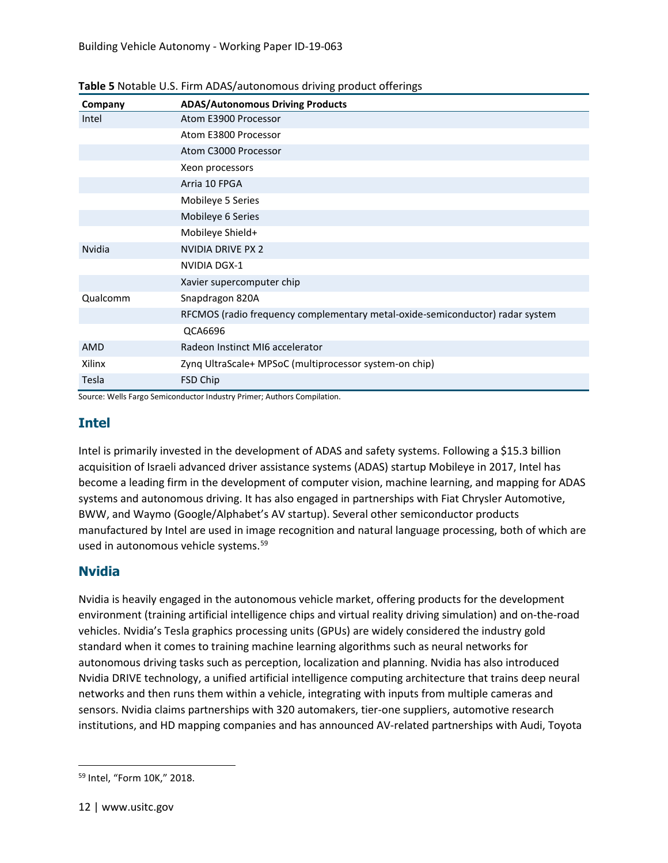| Company       | <b>ADAS/Autonomous Driving Products</b>                                       |
|---------------|-------------------------------------------------------------------------------|
| Intel         | Atom E3900 Processor                                                          |
|               | Atom E3800 Processor                                                          |
|               | Atom C3000 Processor                                                          |
|               | Xeon processors                                                               |
|               | Arria 10 FPGA                                                                 |
|               | Mobileye 5 Series                                                             |
|               | Mobileye 6 Series                                                             |
|               | Mobileye Shield+                                                              |
| <b>Nvidia</b> | <b>NVIDIA DRIVE PX 2</b>                                                      |
|               | <b>NVIDIA DGX-1</b>                                                           |
|               | Xavier supercomputer chip                                                     |
| Qualcomm      | Snapdragon 820A                                                               |
|               | RFCMOS (radio frequency complementary metal-oxide-semiconductor) radar system |
|               | QCA6696                                                                       |
| AMD           | Radeon Instinct MI6 accelerator                                               |
| Xilinx        | Zyng UltraScale+ MPSoC (multiprocessor system-on chip)                        |
| Tesla         | FSD Chip                                                                      |

#### **Table 5** Notable U.S. Firm ADAS/autonomous driving product offerings

Source: Wells Fargo Semiconductor Industry Primer; Authors Compilation.

#### **Intel**

Intel is primarily invested in the development of ADAS and safety systems. Following a \$15.3 billion acquisition of Israeli advanced driver assistance systems (ADAS) startup Mobileye in 2017, Intel has become a leading firm in the development of computer vision, machine learning, and mapping for ADAS systems and autonomous driving. It has also engaged in partnerships with Fiat Chrysler Automotive, BWW, and Waymo (Google/Alphabet's AV startup). Several other semiconductor products manufactured by Intel are used in image recognition and natural language processing, both of which are used in autonomous vehicle systems.<sup>[59](#page-13-0)</sup>

#### **Nvidia**

Nvidia is heavily engaged in the autonomous vehicle market, offering products for the development environment (training artificial intelligence chips and virtual reality driving simulation) and on-the-road vehicles. Nvidia's Tesla graphics processing units (GPUs) are widely considered the industry gold standard when it comes to training machine learning algorithms such as neural networks for autonomous driving tasks such as perception, localization and planning. Nvidia has also introduced Nvidia DRIVE technology, a unified artificial intelligence computing architecture that trains deep neural networks and then runs them within a vehicle, integrating with inputs from multiple cameras and sensors. Nvidia claims partnerships with 320 automakers, tier-one suppliers, automotive research institutions, and HD mapping companies and has announced AV-related partnerships with Audi, Toyota

<span id="page-13-0"></span> <sup>59</sup> Intel, "Form 10K," 2018.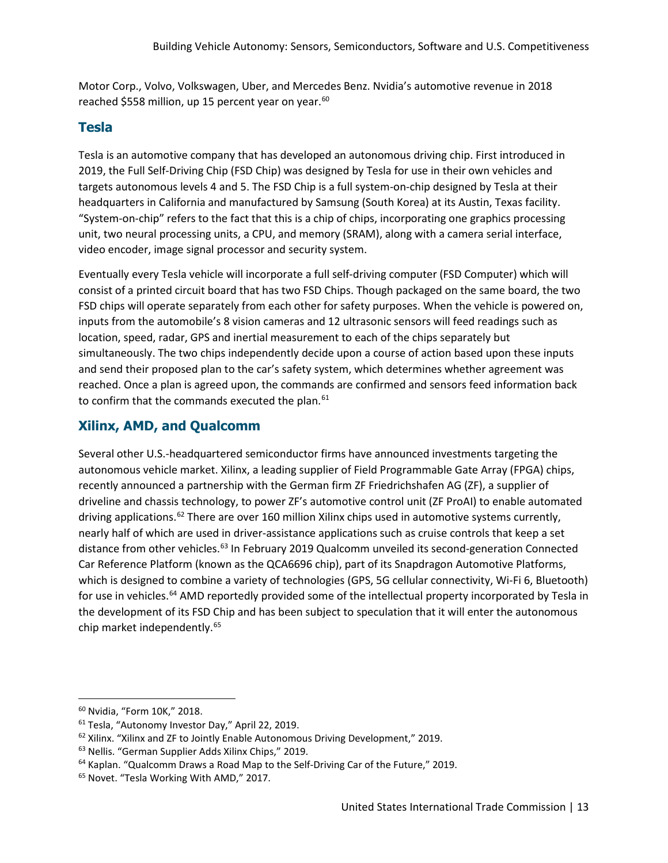Motor Corp., Volvo, Volkswagen, Uber, and Mercedes Benz. Nvidia's automotive revenue in 2018 reached \$558 million, up 15 percent year on year.<sup>[60](#page-14-0)</sup>

#### **Tesla**

Tesla is an automotive company that has developed an autonomous driving chip. First introduced in 2019, the Full Self-Driving Chip (FSD Chip) was designed by Tesla for use in their own vehicles and targets autonomous levels 4 and 5. The FSD Chip is a full system-on-chip designed by Tesla at their headquarters in California and manufactured by Samsung (South Korea) at its Austin, Texas facility. "System-on-chip" refers to the fact that this is a chip of chips, incorporating one graphics processing unit, two neural processing units, a CPU, and memory (SRAM), along with a camera serial interface, video encoder, image signal processor and security system.

Eventually every Tesla vehicle will incorporate a full self-driving computer (FSD Computer) which will consist of a printed circuit board that has two FSD Chips. Though packaged on the same board, the two FSD chips will operate separately from each other for safety purposes. When the vehicle is powered on, inputs from the automobile's 8 vision cameras and 12 ultrasonic sensors will feed readings such as location, speed, radar, GPS and inertial measurement to each of the chips separately but simultaneously. The two chips independently decide upon a course of action based upon these inputs and send their proposed plan to the car's safety system, which determines whether agreement was reached. Once a plan is agreed upon, the commands are confirmed and sensors feed information back to confirm that the commands executed the plan.<sup>[61](#page-14-1)</sup>

#### **Xilinx, AMD, and Qualcomm**

Several other U.S.-headquartered semiconductor firms have announced investments targeting the autonomous vehicle market. Xilinx, a leading supplier of Field Programmable Gate Array (FPGA) chips, recently announced a partnership with the German firm ZF Friedrichshafen AG (ZF), a supplier of driveline and chassis technology, to power ZF's automotive control unit (ZF ProAI) to enable automated driving applications.<sup>[62](#page-14-2)</sup> There are over 160 million Xilinx chips used in automotive systems currently, nearly half of which are used in driver-assistance applications such as cruise controls that keep a set distance from other vehicles.<sup>[63](#page-14-3)</sup> In February 2019 Qualcomm unveiled its second-generation Connected Car Reference Platform (known as the QCA6696 chip), part of its Snapdragon Automotive Platforms, which is designed to combine a variety of technologies (GPS, 5G cellular connectivity, Wi-Fi 6, Bluetooth) for use in vehicles.<sup>[64](#page-14-4)</sup> AMD reportedly provided some of the intellectual property incorporated by Tesla in the development of its FSD Chip and has been subject to speculation that it will enter the autonomous chip market independently.[65](#page-14-5)

<span id="page-14-0"></span> <sup>60</sup> Nvidia, "Form 10K," 2018.

<span id="page-14-1"></span><sup>61</sup> Tesla, "Autonomy Investor Day," April 22, 2019.

<span id="page-14-2"></span><sup>62</sup> Xilinx. "Xilinx and ZF to Jointly Enable Autonomous Driving Development," 2019.

<span id="page-14-3"></span><sup>63</sup> Nellis. "German Supplier Adds Xilinx Chips," 2019.

<span id="page-14-4"></span> $64$  Kaplan. "Qualcomm Draws a Road Map to the Self-Driving Car of the Future," 2019.

<span id="page-14-5"></span><sup>65</sup> Novet. "Tesla Working With AMD," 2017.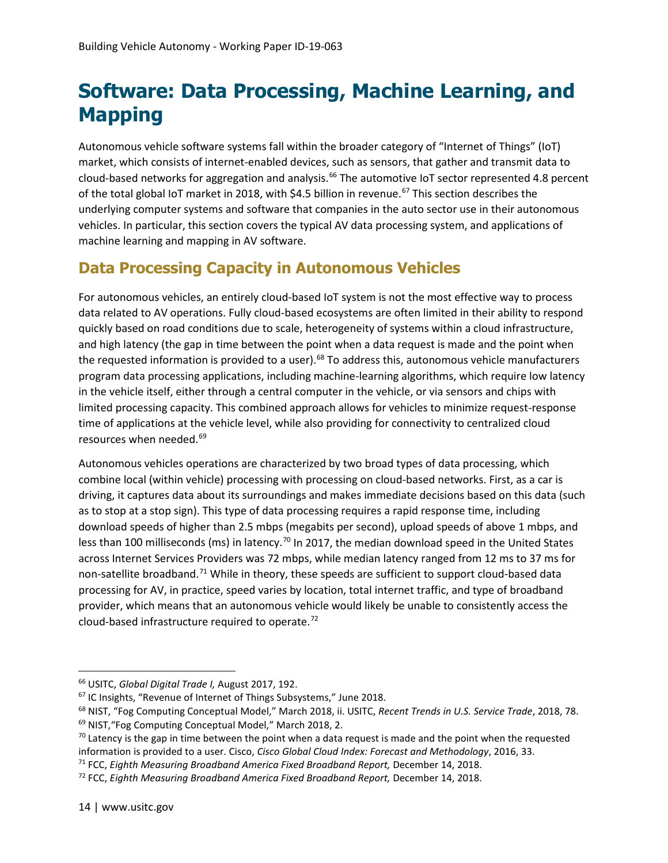### **Software: Data Processing, Machine Learning, and Mapping**

Autonomous vehicle software systems fall within the broader category of "Internet of Things" (IoT) market, which consists of internet-enabled devices, such as sensors, that gather and transmit data to cloud-based networks for aggregation and analysis.<sup>[66](#page-15-0)</sup> The automotive IoT sector represented 4.8 percent of the total global IoT market in 2018, with \$4.5 billion in revenue.<sup>[67](#page-15-1)</sup> This section describes the underlying computer systems and software that companies in the auto sector use in their autonomous vehicles. In particular, this section covers the typical AV data processing system, and applications of machine learning and mapping in AV software.

### **Data Processing Capacity in Autonomous Vehicles**

For autonomous vehicles, an entirely cloud-based IoT system is not the most effective way to process data related to AV operations. Fully cloud-based ecosystems are often limited in their ability to respond quickly based on road conditions due to scale, heterogeneity of systems within a cloud infrastructure, and high latency (the gap in time between the point when a data request is made and the point when the requested information is provided to a user).<sup>[68](#page-15-2)</sup> To address this, autonomous vehicle manufacturers program data processing applications, including machine-learning algorithms, which require low latency in the vehicle itself, either through a central computer in the vehicle, or via sensors and chips with limited processing capacity. This combined approach allows for vehicles to minimize request-response time of applications at the vehicle level, while also providing for connectivity to centralized cloud resources when needed.[69](#page-15-3)

Autonomous vehicles operations are characterized by two broad types of data processing, which combine local (within vehicle) processing with processing on cloud-based networks. First, as a car is driving, it captures data about its surroundings and makes immediate decisions based on this data (such as to stop at a stop sign). This type of data processing requires a rapid response time, including download speeds of higher than 2.5 mbps (megabits per second), upload speeds of above 1 mbps, and less than 100 milliseconds (ms) in latency.<sup>[70](#page-15-4)</sup> In 2017, the median download speed in the United States across Internet Services Providers was 72 mbps, while median latency ranged from 12 ms to 37 ms for non-satellite broadband.<sup>[71](#page-15-5)</sup> While in theory, these speeds are sufficient to support cloud-based data processing for AV, in practice, speed varies by location, total internet traffic, and type of broadband provider, which means that an autonomous vehicle would likely be unable to consistently access the cloud-based infrastructure required to operate.[72](#page-15-6)

<span id="page-15-0"></span> <sup>66</sup> USITC, *Global Digital Trade I,* August 2017, 192.

<span id="page-15-1"></span><sup>67</sup> IC Insights, "Revenue of Internet of Things Subsystems," June 2018.

<span id="page-15-3"></span><span id="page-15-2"></span><sup>68</sup> NIST, "Fog Computing Conceptual Model," March 2018, ii. USITC, *Recent Trends in U.S. Service Trade*, 2018, 78. <sup>69</sup> NIST,"Fog Computing Conceptual Model," March 2018, 2.

<span id="page-15-4"></span> $70$  Latency is the gap in time between the point when a data request is made and the point when the requested information is provided to a user. Cisco, *Cisco Global Cloud Index: Forecast and Methodology*, 2016, 33.

<span id="page-15-5"></span><sup>71</sup> FCC, *Eighth Measuring Broadband America Fixed Broadband Report,* December 14, 2018.

<span id="page-15-6"></span><sup>72</sup> FCC, *Eighth Measuring Broadband America Fixed Broadband Report,* December 14, 2018.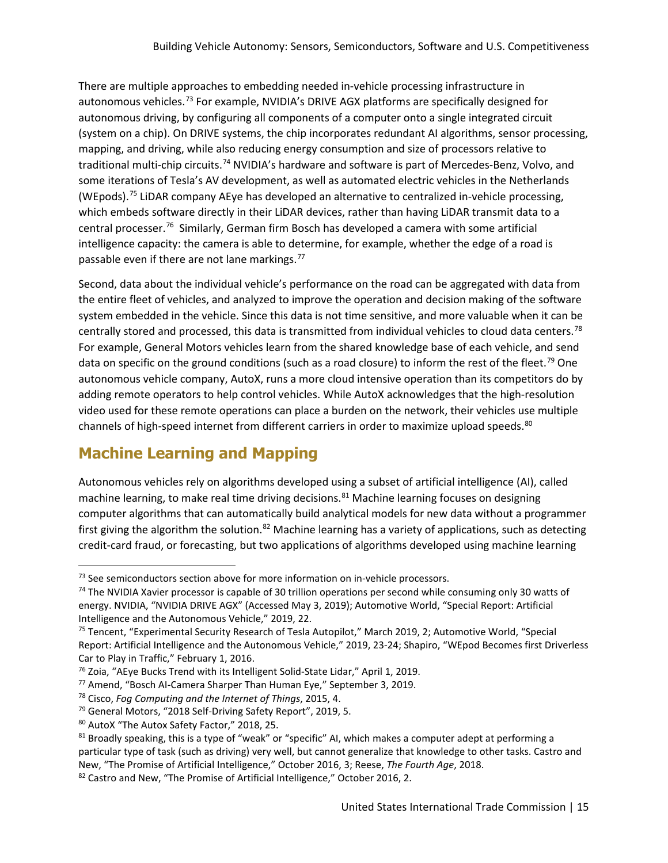There are multiple approaches to embedding needed in-vehicle processing infrastructure in autonomous vehicles.<sup>[73](#page-16-0)</sup> For example, NVIDIA's DRIVE AGX platforms are specifically designed for autonomous driving, by configuring all components of a computer onto a single integrated circuit (system on a chip). On DRIVE systems, the chip incorporates redundant AI algorithms, sensor processing, mapping, and driving, while also reducing energy consumption and size of processors relative to traditional multi-chip circuits.[74](#page-16-1) NVIDIA's hardware and software is part of Mercedes-Benz, Volvo, and some iterations of Tesla's AV development, as well as automated electric vehicles in the Netherlands (WEpods).[75](#page-16-2) LiDAR company AEye has developed an alternative to centralized in-vehicle processing, which embeds software directly in their LiDAR devices, rather than having LiDAR transmit data to a central processer.<sup>76</sup> Similarly, German firm Bosch has developed a camera with some artificial intelligence capacity: the camera is able to determine, for example, whether the edge of a road is passable even if there are not lane markings. $^{77}$  $^{77}$  $^{77}$ 

Second, data about the individual vehicle's performance on the road can be aggregated with data from the entire fleet of vehicles, and analyzed to improve the operation and decision making of the software system embedded in the vehicle. Since this data is not time sensitive, and more valuable when it can be centrally stored and processed, this data is transmitted from individual vehicles to cloud data centers.<sup>[78](#page-16-5)</sup> For example, General Motors vehicles learn from the shared knowledge base of each vehicle, and send data on specific on the ground conditions (such as a road closure) to inform the rest of the fleet.<sup>[79](#page-16-6)</sup> One autonomous vehicle company, AutoX, runs a more cloud intensive operation than its competitors do by adding remote operators to help control vehicles. While AutoX acknowledges that the high-resolution video used for these remote operations can place a burden on the network, their vehicles use multiple channels of high-speed internet from different carriers in order to maximize upload speeds.<sup>[80](#page-16-7)</sup>

### **Machine Learning and Mapping**

Autonomous vehicles rely on algorithms developed using a subset of artificial intelligence (AI), called machine learning, to make real time driving decisions.<sup>[81](#page-16-8)</sup> Machine learning focuses on designing computer algorithms that can automatically build analytical models for new data without a programmer first giving the algorithm the solution.<sup>[82](#page-16-9)</sup> Machine learning has a variety of applications, such as detecting credit-card fraud, or forecasting, but two applications of algorithms developed using machine learning

<span id="page-16-1"></span><span id="page-16-0"></span><sup>&</sup>lt;sup>73</sup> See semiconductors section above for more information on in-vehicle processors.<br><sup>74</sup> The NVIDIA Xavier processor is capable of 30 trillion operations per second while consuming only 30 watts of energy. NVIDIA, "NVIDIA DRIVE AGX" (Accessed May 3, 2019); Automotive World, "Special Report: Artificial Intelligence and the Autonomous Vehicle," 2019, 22.

<span id="page-16-2"></span><sup>&</sup>lt;sup>75</sup> Tencent, "Experimental Security Research of Tesla Autopilot," March 2019, 2; Automotive World, "Special Report: Artificial Intelligence and the Autonomous Vehicle," 2019, 23-24; Shapiro, "WEpod Becomes first Driverless Car to Play in Traffic," February 1, 2016.

<span id="page-16-3"></span><sup>76</sup> Zoia, "AEye Bucks Trend with its Intelligent Solid-State Lidar," April 1, 2019.

<span id="page-16-5"></span><span id="page-16-4"></span><sup>77</sup> Amend, "Bosch AI-Camera Sharper Than Human Eye," September 3, 2019. 78 Cisco, *Fog Computing and the Internet of Things*, 2015, 4.

<span id="page-16-6"></span><sup>79</sup> General Motors, "2018 Self-Driving Safety Report", 2019, 5.

<span id="page-16-7"></span><sup>80</sup> AutoX "The Autox Safety Factor," 2018, 25.

<span id="page-16-8"></span><sup>&</sup>lt;sup>81</sup> Broadly speaking, this is a type of "weak" or "specific" AI, which makes a computer adept at performing a particular type of task (such as driving) very well, but cannot generalize that knowledge to other tasks. Castro and New, "The Promise of Artificial Intelligence," October 2016, 3; Reese, *The Fourth Age*, 2018.

<span id="page-16-9"></span><sup>82</sup> Castro and New, "The Promise of Artificial Intelligence," October 2016, 2.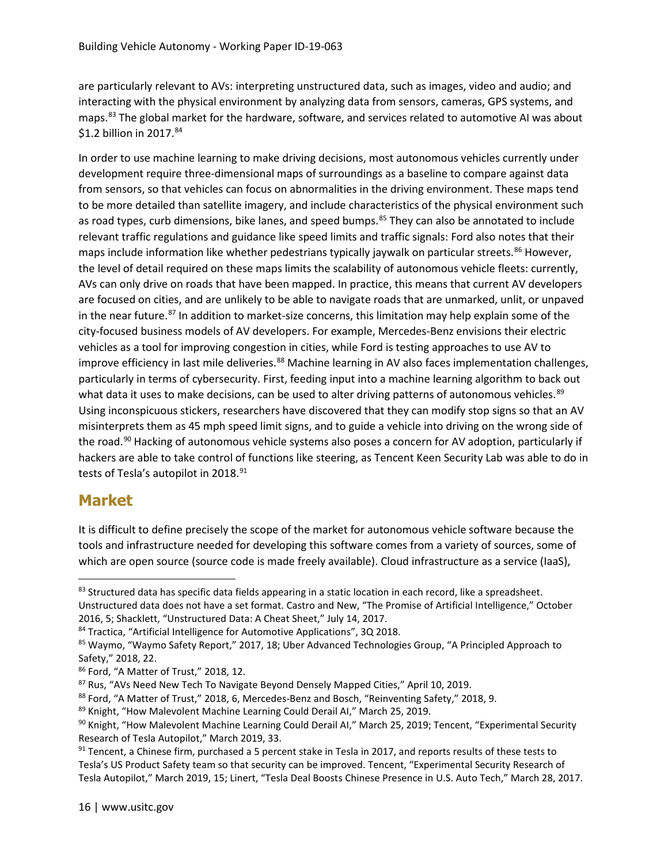are particularly relevant to AVs: interpreting unstructured data, such as images, video and audio; and interacting with the physical environment by analyzing data from sensors, cameras, GPS systems, and maps[.83](#page-17-0) The global market for the hardware, software, and services related to automotive AI was about \$1.2 billion in 2017.<sup>[84](#page-17-1)</sup>

In order to use machine learning to make driving decisions, most autonomous vehicles currently under development require three-dimensional maps of surroundings as a baseline to compare against data from sensors, so that vehicles can focus on abnormalities in the driving environment. These maps tend to be more detailed than satellite imagery, and include characteristics of the physical environment such as road types, curb dimensions, bike lanes, and speed bumps.<sup>[85](#page-17-2)</sup> They can also be annotated to include relevant traffic regulations and guidance like speed limits and traffic signals: Ford also notes that their maps include information like whether pedestrians typically jaywalk on particular streets.<sup>[86](#page-17-3)</sup> However, the level of detail required on these maps limits the scalability of autonomous vehicle fleets: currently, AVs can only drive on roads that have been mapped. In practice, this means that current AV developers are focused on cities, and are unlikely to be able to navigate roads that are unmarked, unlit, or unpaved in the near future.<sup>[87](#page-17-4)</sup> In addition to market-size concerns, this limitation may help explain some of the city-focused business models of AV developers. For example, Mercedes-Benz envisions their electric vehicles as a tool for improving congestion in cities, while Ford is testing approaches to use AV to improve efficiency in last mile deliveries.<sup>[88](#page-17-5)</sup> Machine learning in AV also faces implementation challenges, particularly in terms of cybersecurity. First, feeding input into a machine learning algorithm to back out what data it uses to make decisions, can be used to alter driving patterns of autonomous vehicles.<sup>[89](#page-17-6)</sup> Using inconspicuous stickers, researchers have discovered that they can modify stop signs so that an AV misinterprets them as 45 mph speed limit signs, and to guide a vehicle into driving on the wrong side of the road.<sup>[90](#page-17-7)</sup> Hacking of autonomous vehicle systems also poses a concern for AV adoption, particularly if hackers are able to take control of functions like steering, as Tencent Keen Security Lab was able to do in tests of Tesla's autopilot in 2018.<sup>[91](#page-17-8)</sup>

#### **Market**

It is difficult to define precisely the scope of the market for autonomous vehicle software because the tools and infrastructure needed for developing this software comes from a variety of sources, some of which are open source (source code is made freely available). Cloud infrastructure as a service (IaaS),

<span id="page-17-0"></span><sup>83</sup> Structured data has specific data fields appearing in a static location in each record, like a spreadsheet. Unstructured data does not have a set format. Castro and New, "The Promise of Artificial Intelligence," October 2016, 5; Shacklett, "Unstructured Data: A Cheat Sheet," July 14, 2017.

<span id="page-17-2"></span><span id="page-17-1"></span><sup>&</sup>lt;sup>84</sup> Tractica, "Artificial Intelligence for Automotive Applications", 3Q 2018.<br><sup>85</sup> Waymo, "Waymo Safety Report," 2017, 18; Uber Advanced Technologies Group, "A Principled Approach to Safety," 2018, 22.

<span id="page-17-3"></span><sup>86</sup> Ford, "A Matter of Trust," 2018, 12.

<span id="page-17-5"></span><span id="page-17-4"></span><sup>&</sup>lt;sup>87</sup> Rus, "AVs Need New Tech To Navigate Beyond Densely Mapped Cities," April 10, 2019.<br><sup>88</sup> Ford, "A Matter of Trust," 2018, 6, Mercedes-Benz and Bosch, "Reinventing Safety," 2018, 9.

<span id="page-17-6"></span><sup>89</sup> Knight, "How Malevolent Machine Learning Could Derail AI," March 25, 2019.

<span id="page-17-7"></span><sup>&</sup>lt;sup>90</sup> Knight, "How Malevolent Machine Learning Could Derail AI," March 25, 2019; Tencent, "Experimental Security Research of Tesla Autopilot," March 2019, 33.

<span id="page-17-8"></span> $91$  Tencent, a Chinese firm, purchased a 5 percent stake in Tesla in 2017, and reports results of these tests to Tesla's US Product Safety team so that security can be improved. Tencent, "Experimental Security Research of Tesla Autopilot," March 2019, 15; Linert, "Tesla Deal Boosts Chinese Presence in U.S. Auto Tech," March 28, 2017.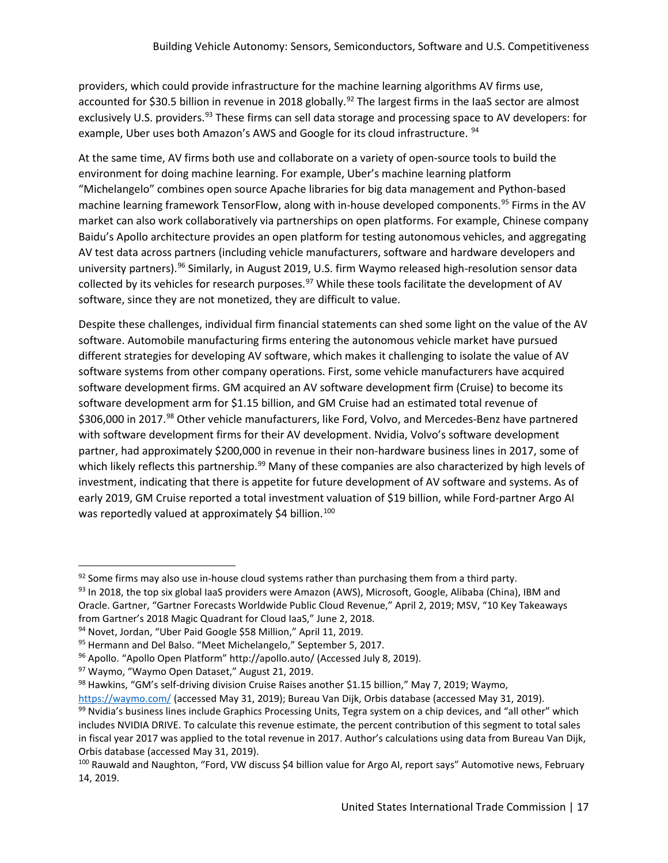providers, which could provide infrastructure for the machine learning algorithms AV firms use, accounted for \$30.5 billion in revenue in 2018 globally.<sup>[92](#page-18-0)</sup> The largest firms in the IaaS sector are almost exclusively U.S. providers.<sup>[93](#page-18-1)</sup> These firms can sell data storage and processing space to AV developers: for example, Uber uses both Amazon's AWS and Google for its cloud infrastructure. <sup>[94](#page-18-2)</sup>

At the same time, AV firms both use and collaborate on a variety of open-source tools to build the environment for doing machine learning. For example, Uber's machine learning platform "Michelangelo" combines open source Apache libraries for big data management and Python-based machine learning framework TensorFlow, along with in-house developed components.<sup>[95](#page-18-3)</sup> Firms in the AV market can also work collaboratively via partnerships on open platforms. For example, Chinese company Baidu's Apollo architecture provides an open platform for testing autonomous vehicles, and aggregating AV test data across partners (including vehicle manufacturers, software and hardware developers and university partners).<sup>[96](#page-18-4)</sup> Similarly, in August 2019, U.S. firm Waymo released high-resolution sensor data collected by its vehicles for research purposes.<sup>[97](#page-18-5)</sup> While these tools facilitate the development of AV software, since they are not monetized, they are difficult to value.

Despite these challenges, individual firm financial statements can shed some light on the value of the AV software. Automobile manufacturing firms entering the autonomous vehicle market have pursued different strategies for developing AV software, which makes it challenging to isolate the value of AV software systems from other company operations. First, some vehicle manufacturers have acquired software development firms. GM acquired an AV software development firm (Cruise) to become its software development arm for \$1.15 billion, and GM Cruise had an estimated total revenue of \$306,000 in 2017.<sup>[98](#page-18-6)</sup> Other vehicle manufacturers, like Ford, Volvo, and Mercedes-Benz have partnered with software development firms for their AV development. Nvidia, Volvo's software development partner, had approximately \$200,000 in revenue in their non-hardware business lines in 2017, some of which likely reflects this partnership.<sup>[99](#page-18-7)</sup> Many of these companies are also characterized by high levels of investment, indicating that there is appetite for future development of AV software and systems. As of early 2019, GM Cruise reported a total investment valuation of \$19 billion, while Ford-partner Argo AI was reportedly valued at approximately \$4 billion.<sup>[100](#page-18-8)</sup>

<span id="page-18-0"></span> $92$  Some firms may also use in-house cloud systems rather than purchasing them from a third party.

<span id="page-18-1"></span><sup>93</sup> In 2018, the top six global IaaS providers were Amazon (AWS), Microsoft, Google, Alibaba (China), IBM and Oracle. Gartner, "Gartner Forecasts Worldwide Public Cloud Revenue," April 2, 2019; MSV, "10 Key Takeaways from Gartner's 2018 Magic Quadrant for Cloud IaaS," June 2, 2018.

<span id="page-18-2"></span><sup>94</sup> Novet, Jordan, "Uber Paid Google \$58 Million," April 11, 2019.

<span id="page-18-5"></span>

<span id="page-18-4"></span><span id="page-18-3"></span><sup>&</sup>lt;sup>95</sup> Hermann and Del Balso. "Meet Michelangelo," September 5, 2017.<br><sup>96</sup> Apollo. "Apollo Open Platform" http://apollo.auto/ [\(](http://apollo.auto/)Accessed July 8, 2019).<br><sup>97</sup> Waymo, "Waymo Open Dataset," August 21, 2019.<br><sup>98</sup> Hawkins, "GM's se

<span id="page-18-7"></span><span id="page-18-6"></span><https://waymo.com/> (accessed May 31, 2019); Bureau Van Dijk, Orbis database (accessed May 31, 2019). <sup>99</sup> Nvidia's business lines include Graphics Processing Units, Tegra system on a chip devices, and "all other" which includes NVIDIA DRIVE. To calculate this revenue estimate, the percent contribution of this segment to total sales in fiscal year 2017 was applied to the total revenue in 2017. Author's calculations using data from Bureau Van Dijk, Orbis database (accessed May 31, 2019).

<span id="page-18-8"></span><sup>100</sup> Rauwald and Naughton, "Ford, VW discuss \$4 billion value for Argo AI, report says" Automotive news, February 14, 2019.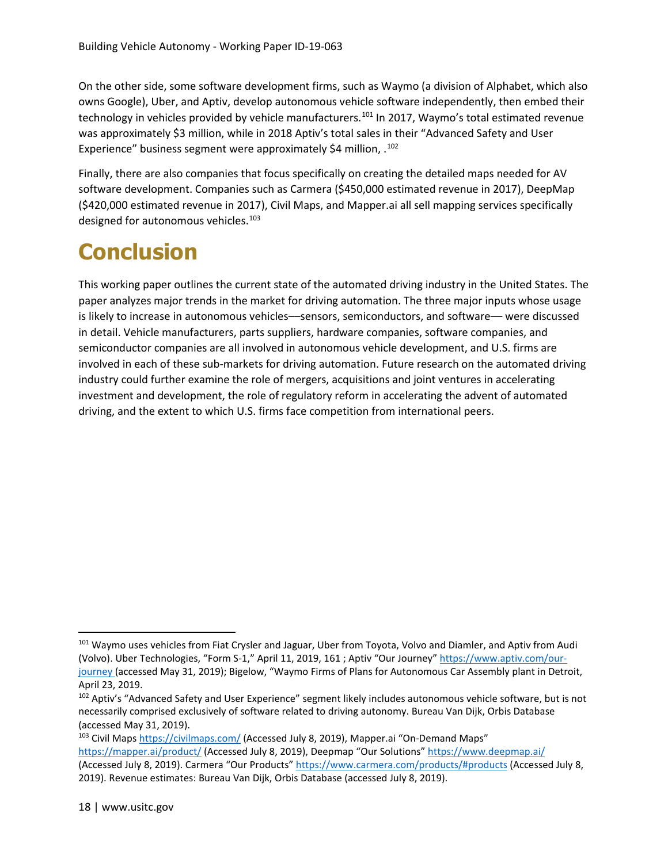On the other side, some software development firms, such as Waymo (a division of Alphabet, which also owns Google), Uber, and Aptiv, develop autonomous vehicle software independently, then embed their technology in vehicles provided by vehicle manufacturers.<sup>[101](#page-19-0)</sup> In 2017, Waymo's total estimated revenue was approximately \$3 million, while in 2018 Aptiv's total sales in their "Advanced Safety and User Experience" business segment were approximately \$4 million, .<sup>[102](#page-19-1)</sup>

Finally, there are also companies that focus specifically on creating the detailed maps needed for AV software development. Companies such as Carmera (\$450,000 estimated revenue in 2017), DeepMap (\$420,000 estimated revenue in 2017), Civil Maps, and Mapper.ai all sell mapping services specifically designed for autonomous vehicles.<sup>103</sup>

## **Conclusion**

This working paper outlines the current state of the automated driving industry in the United States. The paper analyzes major trends in the market for driving automation. The three major inputs whose usage is likely to increase in autonomous vehicles––sensors, semiconductors, and software–– were discussed in detail. Vehicle manufacturers, parts suppliers, hardware companies, software companies, and semiconductor companies are all involved in autonomous vehicle development, and U.S. firms are involved in each of these sub-markets for driving automation. Future research on the automated driving industry could further examine the role of mergers, acquisitions and joint ventures in accelerating investment and development, the role of regulatory reform in accelerating the advent of automated driving, and the extent to which U.S. firms face competition from international peers.

<span id="page-19-0"></span><sup>&</sup>lt;sup>101</sup> Waymo uses vehicles from Fiat Crysler and Jaguar, Uber from Toyota, Volvo and Diamler, and Aptiv from Audi (Volvo). Uber Technologies, "Form S-1," April 11, 2019, 161 ; Aptiv "Our Journey" [https://www.aptiv.com/our](https://www.aptiv.com/our-journey)[journey](https://www.aptiv.com/our-journey) (accessed May 31, 2019); Bigelow, "Waymo Firms of Plans for Autonomous Car Assembly plant in Detroit, April 23, 2019.

<span id="page-19-1"></span><sup>&</sup>lt;sup>102</sup> Aptiv's "Advanced Safety and User Experience" segment likely includes autonomous vehicle software, but is not necessarily comprised exclusively of software related to driving autonomy. Bureau Van Dijk, Orbis Database (accessed May 31, 2019).

<span id="page-19-2"></span><sup>103</sup> Civil Maps<https://civilmaps.com/> (Accessed July 8, 2019), Mapper.ai "On-Demand Maps" <https://mapper.ai/product/> (Accessed July 8, 2019), Deepmap "Our Solutions"<https://www.deepmap.ai/> (Accessed July 8, 2019). Carmera "Our Products[" https://www.carmera.com/products/#products](https://www.carmera.com/products/#products) (Accessed July 8, 2019). Revenue estimates: Bureau Van Dijk, Orbis Database (accessed July 8, 2019).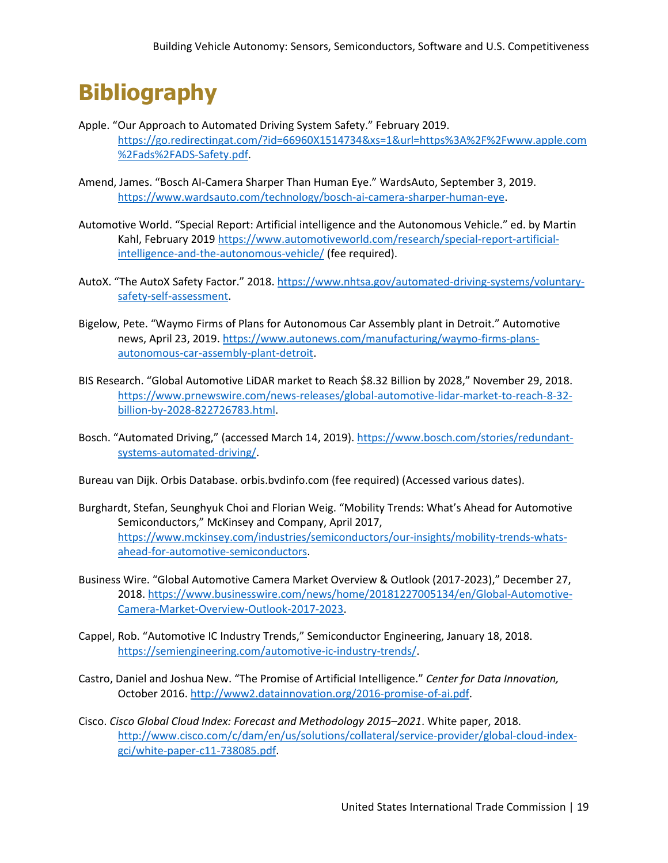## **Bibliography**

- Apple. "Our Approach to Automated Driving System Safety." February 2019. [https://go.redirectingat.com/?id=66960X1514734&xs=1&url=https%3A%2F%2Fwww.apple.com](https://go.redirectingat.com/?id=66960X1514734&xs=1&url=https%3A%2F%2Fwww.apple.com%2Fads%2FADS-Safety.pdf) [%2Fads%2FADS-Safety.pdf.](https://go.redirectingat.com/?id=66960X1514734&xs=1&url=https%3A%2F%2Fwww.apple.com%2Fads%2FADS-Safety.pdf)
- Amend, James. "Bosch AI-Camera Sharper Than Human Eye." WardsAuto, September 3, 2019. [https://www.wardsauto.com/technology/bosch-ai-camera-sharper-human-eye.](https://www.wardsauto.com/technology/bosch-ai-camera-sharper-human-eye)
- Automotive World. "Special Report: Artificial intelligence and the Autonomous Vehicle." ed. by Martin Kahl, February 2019 [https://www.automotiveworld.com/research/special-report-artificial](https://www.automotiveworld.com/research/special-report-artificial-intelligence-and-the-autonomous-vehicle/)[intelligence-and-the-autonomous-vehicle/](https://www.automotiveworld.com/research/special-report-artificial-intelligence-and-the-autonomous-vehicle/) (fee required).
- AutoX. "The AutoX Safety Factor." 2018. [https://www.nhtsa.gov/automated-driving-systems/voluntary](https://www.nhtsa.gov/automated-driving-systems/voluntary-safety-self-assessment)[safety-self-assessment.](https://www.nhtsa.gov/automated-driving-systems/voluntary-safety-self-assessment)
- Bigelow, Pete. "Waymo Firms of Plans for Autonomous Car Assembly plant in Detroit." Automotive news, April 23, 2019. [https://www.autonews.com/manufacturing/waymo-firms-plans](https://www.autonews.com/manufacturing/waymo-firms-plans-autonomous-car-assembly-plant-detroit)[autonomous-car-assembly-plant-detroit.](https://www.autonews.com/manufacturing/waymo-firms-plans-autonomous-car-assembly-plant-detroit)
- BIS Research. "Global Automotive LiDAR market to Reach \$8.32 Billion by 2028," November 29, 2018. [https://www.prnewswire.com/news-releases/global-automotive-lidar-market-to-reach-8-32](https://www.prnewswire.com/news-releases/global-automotive-lidar-market-to-reach-8-32-billion-by-2028-822726783.html) [billion-by-2028-822726783.html.](https://www.prnewswire.com/news-releases/global-automotive-lidar-market-to-reach-8-32-billion-by-2028-822726783.html)
- Bosch. "Automated Driving," (accessed March 14, 2019). [https://www.bosch.com/stories/redundant](https://www.bosch.com/stories/redundant-systems-automated-driving/)[systems-automated-driving/.](https://www.bosch.com/stories/redundant-systems-automated-driving/)
- Bureau van Dijk. Orbis Database. orbis.bvdinfo.com (fee required) (Accessed various dates).
- Burghardt, Stefan, Seunghyuk Choi and Florian Weig. "Mobility Trends: What's Ahead for Automotive Semiconductors," McKinsey and Company, April 2017, [https://www.mckinsey.com/industries/semiconductors/our-insights/mobility-trends-whats](https://www.mckinsey.com/industries/semiconductors/our-insights/mobility-trends-whats-ahead-for-automotive-semiconductors)[ahead-for-automotive-semiconductors.](https://www.mckinsey.com/industries/semiconductors/our-insights/mobility-trends-whats-ahead-for-automotive-semiconductors)
- Business Wire. "Global Automotive Camera Market Overview & Outlook (2017-2023)," December 27, 2018[. https://www.businesswire.com/news/home/20181227005134/en/Global-Automotive-](https://www.businesswire.com/news/home/20181227005134/en/Global-Automotive-Camera-Market-Overview-Outlook-2017-2023)[Camera-Market-Overview-Outlook-2017-2023.](https://www.businesswire.com/news/home/20181227005134/en/Global-Automotive-Camera-Market-Overview-Outlook-2017-2023)
- Cappel, Rob. "Automotive IC Industry Trends," Semiconductor Engineering, January 18, 2018. [https://semiengineering.com/automotive-ic-industry-trends/.](https://semiengineering.com/automotive-ic-industry-trends/)
- Castro, Daniel and Joshua New. "The Promise of Artificial Intelligence." *Center for Data Innovation,*  October 2016[. http://www2.datainnovation.org/2016-promise-of-ai.pdf.](http://www2.datainnovation.org/2016-promise-of-ai.pdf)
- Cisco. *Cisco Global Cloud Index: Forecast and Methodology 2015–2021*. White paper, 2018. [http://www.cisco.com/c/dam/en/us/solutions/collateral/service-provider/global-cloud-index](http://www.cisco.com/c/dam/en/us/solutions/collateral/service-provider/global-cloud-index-gci/white-paper-c11-738085.pdf)[gci/white-paper-c11-738085.pdf.](http://www.cisco.com/c/dam/en/us/solutions/collateral/service-provider/global-cloud-index-gci/white-paper-c11-738085.pdf)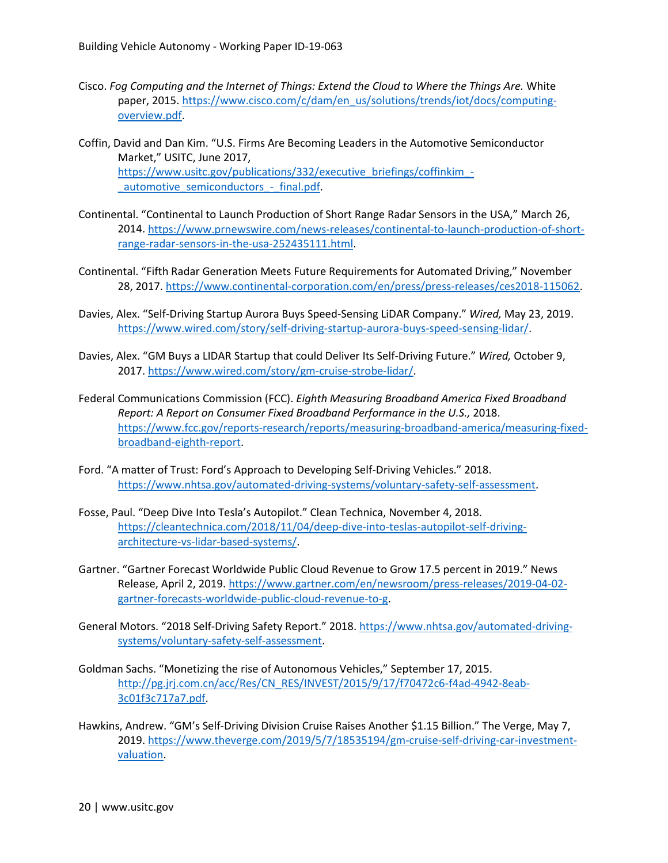- Cisco. *Fog Computing and the Internet of Things: Extend the Cloud to Where the Things Are.* White paper, 2015. [https://www.cisco.com/c/dam/en\\_us/solutions/trends/iot/docs/computing](https://www.cisco.com/c/dam/en_us/solutions/trends/iot/docs/computing-overview.pdf)[overview.pdf.](https://www.cisco.com/c/dam/en_us/solutions/trends/iot/docs/computing-overview.pdf)
- Coffin, David and Dan Kim. "U.S. Firms Are Becoming Leaders in the Automotive Semiconductor Market," USITC, June 2017, https://www.usitc.gov/publications/332/executive\_briefings/coffinkim automotive\_semiconductors - final.pdf.
- Continental. "Continental to Launch Production of Short Range Radar Sensors in the USA," March 26, 2014[. https://www.prnewswire.com/news-releases/continental-to-launch-production-of-short](https://www.prnewswire.com/news-releases/continental-to-launch-production-of-short-range-radar-sensors-in-the-usa-252435111.html)[range-radar-sensors-in-the-usa-252435111.html.](https://www.prnewswire.com/news-releases/continental-to-launch-production-of-short-range-radar-sensors-in-the-usa-252435111.html)
- Continental. "Fifth Radar Generation Meets Future Requirements for Automated Driving," November 28, 2017. [https://www.continental-corporation.com/en/press/press-releases/ces2018-115062.](https://www.continental-corporation.com/en/press/press-releases/ces2018-115062)
- Davies, Alex. "Self-Driving Startup Aurora Buys Speed-Sensing LiDAR Company." *Wired,* May 23, 2019. [https://www.wired.com/story/self-driving-startup-aurora-buys-speed-sensing-lidar/.](https://www.wired.com/story/self-driving-startup-aurora-buys-speed-sensing-lidar/)
- Davies, Alex. "GM Buys a LIDAR Startup that could Deliver Its Self-Driving Future." *Wired,* October 9, 2017[. https://www.wired.com/story/gm-cruise-strobe-lidar/.](https://www.wired.com/story/gm-cruise-strobe-lidar/)
- Federal Communications Commission (FCC). *Eighth Measuring Broadband America Fixed Broadband Report: A Report on Consumer Fixed Broadband Performance in the U.S.,* 2018. [https://www.fcc.gov/reports-research/reports/measuring-broadband-america/measuring-fixed](https://www.fcc.gov/reports-research/reports/measuring-broadband-america/measuring-fixed-broadband-eighth-report)[broadband-eighth-report.](https://www.fcc.gov/reports-research/reports/measuring-broadband-america/measuring-fixed-broadband-eighth-report)
- Ford. "A matter of Trust: Ford's Approach to Developing Self-Driving Vehicles." 2018. [https://www.nhtsa.gov/automated-driving-systems/voluntary-safety-self-assessment.](https://www.nhtsa.gov/automated-driving-systems/voluntary-safety-self-assessment)
- Fosse, Paul. "Deep Dive Into Tesla's Autopilot." Clean Technica, November 4, 2018. [https://cleantechnica.com/2018/11/04/deep-dive-into-teslas-autopilot-self-driving](https://cleantechnica.com/2018/11/04/deep-dive-into-teslas-autopilot-self-driving-architecture-vs-lidar-based-systems/)[architecture-vs-lidar-based-systems/.](https://cleantechnica.com/2018/11/04/deep-dive-into-teslas-autopilot-self-driving-architecture-vs-lidar-based-systems/)
- Gartner. "Gartner Forecast Worldwide Public Cloud Revenue to Grow 17.5 percent in 2019." News Release, April 2, 2019[. https://www.gartner.com/en/newsroom/press-releases/2019-04-02](https://www.gartner.com/en/newsroom/press-releases/2019-04-02-gartner-forecasts-worldwide-public-cloud-revenue-to-g) [gartner-forecasts-worldwide-public-cloud-revenue-to-g.](https://www.gartner.com/en/newsroom/press-releases/2019-04-02-gartner-forecasts-worldwide-public-cloud-revenue-to-g)
- General Motors. "2018 Self-Driving Safety Report." 2018[. https://www.nhtsa.gov/automated-driving](https://www.nhtsa.gov/automated-driving-systems/voluntary-safety-self-assessment)[systems/voluntary-safety-self-assessment.](https://www.nhtsa.gov/automated-driving-systems/voluntary-safety-self-assessment)
- Goldman Sachs. "Monetizing the rise of Autonomous Vehicles," September 17, 2015. [http://pg.jrj.com.cn/acc/Res/CN\\_RES/INVEST/2015/9/17/f70472c6-f4ad-4942-8eab-](http://pg.jrj.com.cn/acc/Res/CN_RES/INVEST/2015/9/17/f70472c6-f4ad-4942-8eab-3c01f3c717a7.pdf)[3c01f3c717a7.pdf.](http://pg.jrj.com.cn/acc/Res/CN_RES/INVEST/2015/9/17/f70472c6-f4ad-4942-8eab-3c01f3c717a7.pdf)
- Hawkins, Andrew. "GM's Self-Driving Division Cruise Raises Another \$1.15 Billion." The Verge, May 7, 2019[. https://www.theverge.com/2019/5/7/18535194/gm-cruise-self-driving-car-investment](https://www.theverge.com/2019/5/7/18535194/gm-cruise-self-driving-car-investment-valuation)[valuation.](https://www.theverge.com/2019/5/7/18535194/gm-cruise-self-driving-car-investment-valuation)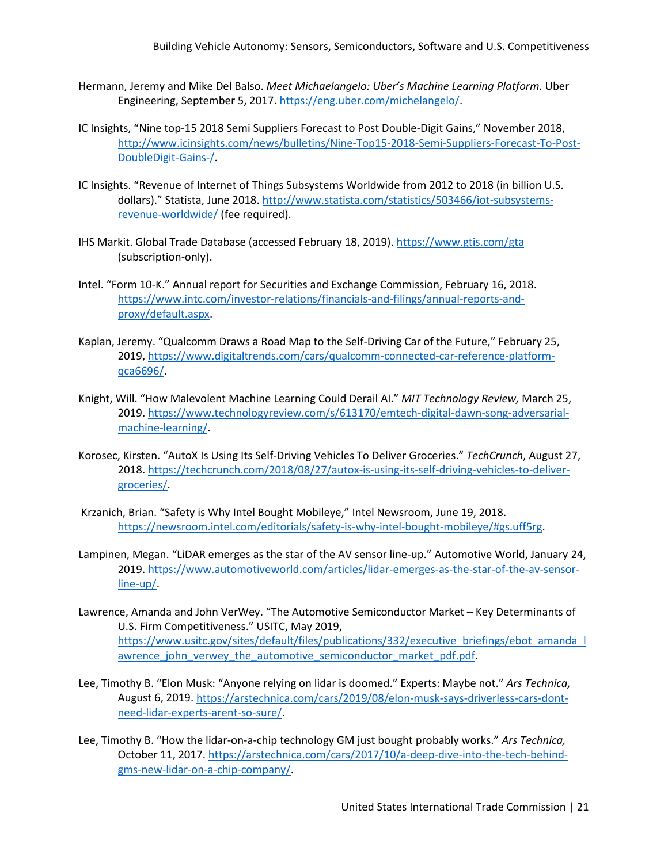- Hermann, Jeremy and Mike Del Balso. *Meet Michaelangelo: Uber's Machine Learning Platform.* Uber Engineering, September 5, 2017. [https://eng.uber.com/michelangelo/.](https://eng.uber.com/michelangelo/)
- IC Insights, "Nine top-15 2018 Semi Suppliers Forecast to Post Double-Digit Gains," November 2018, [http://www.icinsights.com/news/bulletins/Nine-Top15-2018-Semi-Suppliers-Forecast-To-Post-](http://www.icinsights.com/news/bulletins/Nine-Top15-2018-Semi-Suppliers-Forecast-To-Post-DoubleDigit-Gains-/)[DoubleDigit-Gains-/.](http://www.icinsights.com/news/bulletins/Nine-Top15-2018-Semi-Suppliers-Forecast-To-Post-DoubleDigit-Gains-/)
- IC Insights. "Revenue of Internet of Things Subsystems Worldwide from 2012 to 2018 (in billion U.S. dollars)." Statista, June 2018[. http://www.statista.com/statistics/503466/iot-subsystems](http://www.statista.com/statistics/503466/iot-subsystems-revenue-worldwide/)[revenue-worldwide/](http://www.statista.com/statistics/503466/iot-subsystems-revenue-worldwide/) (fee required).
- IHS Markit. Global Trade Database (accessed February 18, 2019)[. https://www.gtis.com/gta](https://www.gtis.com/gta) (subscription-only).
- Intel. "Form 10-K." Annual report for Securities and Exchange Commission, February 16, 2018. [https://www.intc.com/investor-relations/financials-and-filings/annual-reports-and](https://www.intc.com/investor-relations/financials-and-filings/annual-reports-and-proxy/default.aspx)[proxy/default.aspx.](https://www.intc.com/investor-relations/financials-and-filings/annual-reports-and-proxy/default.aspx)
- Kaplan, Jeremy. "Qualcomm Draws a Road Map to the Self-Driving Car of the Future," February 25, 2019[, https://www.digitaltrends.com/cars/qualcomm-connected-car-reference-platform](https://www.digitaltrends.com/cars/qualcomm-connected-car-reference-platform-qca6696/)[qca6696/.](https://www.digitaltrends.com/cars/qualcomm-connected-car-reference-platform-qca6696/)
- Knight, Will. "How Malevolent Machine Learning Could Derail AI." *MIT Technology Review,* March 25, 2019[. https://www.technologyreview.com/s/613170/emtech-digital-dawn-song-adversarial](https://www.technologyreview.com/s/613170/emtech-digital-dawn-song-adversarial-machine-learning/)[machine-learning/.](https://www.technologyreview.com/s/613170/emtech-digital-dawn-song-adversarial-machine-learning/)
- Korosec, Kirsten. "AutoX Is Using Its Self-Driving Vehicles To Deliver Groceries." *TechCrunch*, August 27, 2018[. https://techcrunch.com/2018/08/27/autox-is-using-its-self-driving-vehicles-to-deliver](https://techcrunch.com/2018/08/27/autox-is-using-its-self-driving-vehicles-to-deliver-groceries/)[groceries/.](https://techcrunch.com/2018/08/27/autox-is-using-its-self-driving-vehicles-to-deliver-groceries/)
- Krzanich, Brian. "Safety is Why Intel Bought Mobileye," Intel Newsroom, June 19, 2018. [https://newsroom.intel.com/editorials/safety-is-why-intel-bought-mobileye/#gs.uff5rg.](https://newsroom.intel.com/editorials/safety-is-why-intel-bought-mobileye/#gs.uff5rg)
- Lampinen, Megan. "LiDAR emerges as the star of the AV sensor line-up." Automotive World, January 24, 2019[. https://www.automotiveworld.com/articles/lidar-emerges-as-the-star-of-the-av-sensor](https://www.automotiveworld.com/articles/lidar-emerges-as-the-star-of-the-av-sensor-line-up/)[line-up/.](https://www.automotiveworld.com/articles/lidar-emerges-as-the-star-of-the-av-sensor-line-up/)
- Lawrence, Amanda and John VerWey. "The Automotive Semiconductor Market Key Determinants of U.S. Firm Competitiveness." USITC, May 2019, [https://www.usitc.gov/sites/default/files/publications/332/executive\\_briefings/ebot\\_amanda\\_l](https://www.usitc.gov/sites/default/files/publications/332/executive_briefings/ebot_amanda_lawrence_john_verwey_the_automotive_semiconductor_market_pdf.pdf) [awrence\\_john\\_verwey\\_the\\_automotive\\_semiconductor\\_market\\_pdf.pdf.](https://www.usitc.gov/sites/default/files/publications/332/executive_briefings/ebot_amanda_lawrence_john_verwey_the_automotive_semiconductor_market_pdf.pdf)
- Lee, Timothy B. "Elon Musk: "Anyone relying on lidar is doomed." Experts: Maybe not." *Ars Technica,* August 6, 2019. [https://arstechnica.com/cars/2019/08/elon-musk-says-driverless-cars-dont](https://arstechnica.com/cars/2019/08/elon-musk-says-driverless-cars-dont-need-lidar-experts-arent-so-sure/)[need-lidar-experts-arent-so-sure/.](https://arstechnica.com/cars/2019/08/elon-musk-says-driverless-cars-dont-need-lidar-experts-arent-so-sure/)
- Lee, Timothy B. "How the lidar-on-a-chip technology GM just bought probably works." *Ars Technica,* October 11, 2017. [https://arstechnica.com/cars/2017/10/a-deep-dive-into-the-tech-behind](https://arstechnica.com/cars/2017/10/a-deep-dive-into-the-tech-behind-gms-new-lidar-on-a-chip-company/)[gms-new-lidar-on-a-chip-company/.](https://arstechnica.com/cars/2017/10/a-deep-dive-into-the-tech-behind-gms-new-lidar-on-a-chip-company/)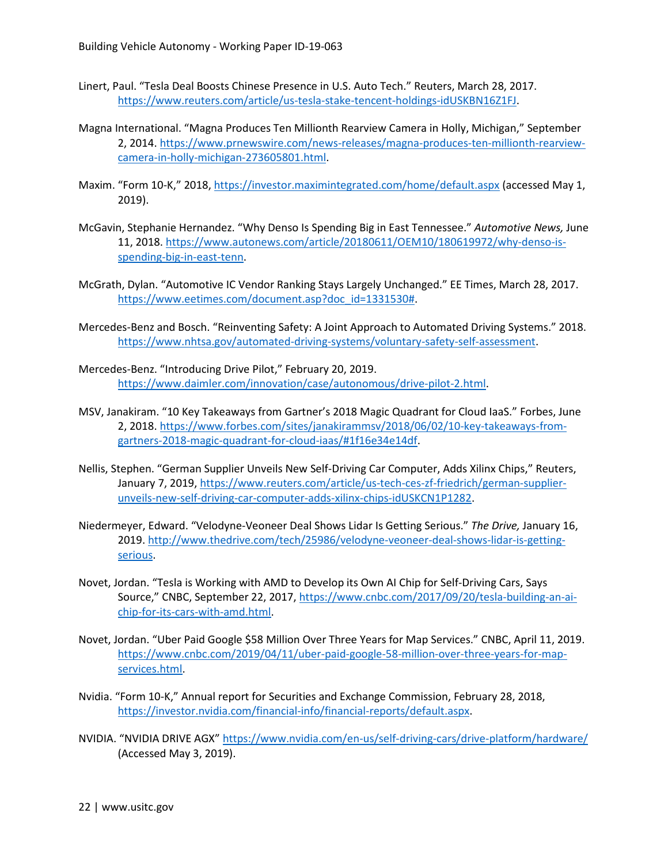- Linert, Paul. "Tesla Deal Boosts Chinese Presence in U.S. Auto Tech." Reuters, March 28, 2017. [https://www.reuters.com/article/us-tesla-stake-tencent-holdings-idUSKBN16Z1FJ.](https://www.reuters.com/article/us-tesla-stake-tencent-holdings-idUSKBN16Z1FJ)
- Magna International. "Magna Produces Ten Millionth Rearview Camera in Holly, Michigan," September 2, 2014[. https://www.prnewswire.com/news-releases/magna-produces-ten-millionth-rearview](https://www.prnewswire.com/news-releases/magna-produces-ten-millionth-rearview-camera-in-holly-michigan-273605801.html)[camera-in-holly-michigan-273605801.html.](https://www.prnewswire.com/news-releases/magna-produces-ten-millionth-rearview-camera-in-holly-michigan-273605801.html)
- Maxim. "Form 10-K," 2018,<https://investor.maximintegrated.com/home/default.aspx> (accessed May 1, 2019).
- McGavin, Stephanie Hernandez. "Why Denso Is Spending Big in East Tennessee." *Automotive News,* June 11, 2018. [https://www.autonews.com/article/20180611/OEM10/180619972/why-denso-is](https://www.autonews.com/article/20180611/OEM10/180619972/why-denso-is-spending-big-in-east-tenn)[spending-big-in-east-tenn.](https://www.autonews.com/article/20180611/OEM10/180619972/why-denso-is-spending-big-in-east-tenn)
- McGrath, Dylan. "Automotive IC Vendor Ranking Stays Largely Unchanged." EE Times, March 28, 2017. [https://www.eetimes.com/document.asp?doc\\_id=1331530#.](https://www.eetimes.com/document.asp?doc_id=1331530)
- Mercedes-Benz and Bosch. "Reinventing Safety: A Joint Approach to Automated Driving Systems." 2018. [https://www.nhtsa.gov/automated-driving-systems/voluntary-safety-self-assessment.](https://www.nhtsa.gov/automated-driving-systems/voluntary-safety-self-assessment)
- Mercedes-Benz. "Introducing Drive Pilot," February 20, 2019. [https://www.daimler.com/innovation/case/autonomous/drive-pilot-2.html.](https://www.daimler.com/innovation/case/autonomous/drive-pilot-2.html)
- MSV, Janakiram. "10 Key Takeaways from Gartner's 2018 Magic Quadrant for Cloud IaaS." Forbes, June 2, 2018[. https://www.forbes.com/sites/janakirammsv/2018/06/02/10-key-takeaways-from](https://www.forbes.com/sites/janakirammsv/2018/06/02/10-key-takeaways-from-gartners-2018-magic-quadrant-for-cloud-iaas/#1f16e34e14df)[gartners-2018-magic-quadrant-for-cloud-iaas/#1f16e34e14df.](https://www.forbes.com/sites/janakirammsv/2018/06/02/10-key-takeaways-from-gartners-2018-magic-quadrant-for-cloud-iaas/#1f16e34e14df)
- Nellis, Stephen. "German Supplier Unveils New Self-Driving Car Computer, Adds Xilinx Chips," Reuters, January 7, 2019, [https://www.reuters.com/article/us-tech-ces-zf-friedrich/german-supplier](https://www.reuters.com/article/us-tech-ces-zf-friedrich/german-supplier-unveils-new-self-driving-car-computer-adds-xilinx-chips-idUSKCN1P1282)[unveils-new-self-driving-car-computer-adds-xilinx-chips-idUSKCN1P1282.](https://www.reuters.com/article/us-tech-ces-zf-friedrich/german-supplier-unveils-new-self-driving-car-computer-adds-xilinx-chips-idUSKCN1P1282)
- Niedermeyer, Edward. "Velodyne-Veoneer Deal Shows Lidar Is Getting Serious." *The Drive,* January 16, 2019[. http://www.thedrive.com/tech/25986/velodyne-veoneer-deal-shows-lidar-is-getting](http://www.thedrive.com/tech/25986/velodyne-veoneer-deal-shows-lidar-is-getting-serious)[serious.](http://www.thedrive.com/tech/25986/velodyne-veoneer-deal-shows-lidar-is-getting-serious)
- Novet, Jordan. "Tesla is Working with AMD to Develop its Own AI Chip for Self-Driving Cars, Says Source," CNBC, September 22, 2017, [https://www.cnbc.com/2017/09/20/tesla-building-an-ai](https://www.cnbc.com/2017/09/20/tesla-building-an-ai-chip-for-its-cars-with-amd.html)[chip-for-its-cars-with-amd.html.](https://www.cnbc.com/2017/09/20/tesla-building-an-ai-chip-for-its-cars-with-amd.html)
- Novet, Jordan. "Uber Paid Google \$58 Million Over Three Years for Map Services." CNBC, April 11, 2019. [https://www.cnbc.com/2019/04/11/uber-paid-google-58-million-over-three-years-for-map](https://www.cnbc.com/2019/04/11/uber-paid-google-58-million-over-three-years-for-map-services.html)[services.html.](https://www.cnbc.com/2019/04/11/uber-paid-google-58-million-over-three-years-for-map-services.html)
- Nvidia. "Form 10-K," Annual report for Securities and Exchange Commission, February 28, 2018, [https://investor.nvidia.com/financial-info/financial-reports/default.aspx.](https://investor.nvidia.com/financial-info/financial-reports/default.aspx)
- NVIDIA. "NVIDIA DRIVE AGX"<https://www.nvidia.com/en-us/self-driving-cars/drive-platform/hardware/> (Accessed May 3, 2019).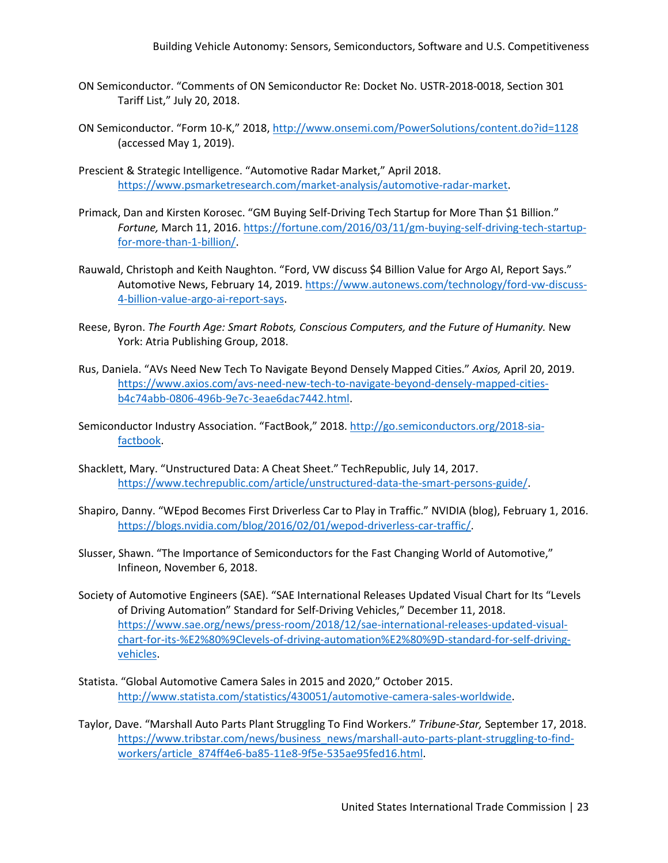- ON Semiconductor. "Comments of ON Semiconductor Re: Docket No. USTR-2018-0018, Section 301 Tariff List," July 20, 2018.
- ON Semiconductor. "Form 10-K," 2018,<http://www.onsemi.com/PowerSolutions/content.do?id=1128> (accessed May 1, 2019).
- Prescient & Strategic Intelligence. "Automotive Radar Market," April 2018. [https://www.psmarketresearch.com/market-analysis/automotive-radar-market.](https://www.psmarketresearch.com/market-analysis/automotive-radar-market)
- Primack, Dan and Kirsten Korosec. "GM Buying Self-Driving Tech Startup for More Than \$1 Billion." *Fortune,* March 11, 2016. [https://fortune.com/2016/03/11/gm-buying-self-driving-tech-startup](https://fortune.com/2016/03/11/gm-buying-self-driving-tech-startup-for-more-than-1-billion/)[for-more-than-1-billion/.](https://fortune.com/2016/03/11/gm-buying-self-driving-tech-startup-for-more-than-1-billion/)
- Rauwald, Christoph and Keith Naughton. "Ford, VW discuss \$4 Billion Value for Argo AI, Report Says." Automotive News, February 14, 2019. [https://www.autonews.com/technology/ford-vw-discuss-](https://www.autonews.com/technology/ford-vw-discuss-4-billion-value-argo-ai-report-says)[4-billion-value-argo-ai-report-says.](https://www.autonews.com/technology/ford-vw-discuss-4-billion-value-argo-ai-report-says)
- Reese, Byron. *The Fourth Age: Smart Robots, Conscious Computers, and the Future of Humanity.* New York: Atria Publishing Group, 2018.
- Rus, Daniela. "AVs Need New Tech To Navigate Beyond Densely Mapped Cities." *Axios,* April 20, 2019. [https://www.axios.com/avs-need-new-tech-to-navigate-beyond-densely-mapped-cities](https://www.axios.com/avs-need-new-tech-to-navigate-beyond-densely-mapped-cities-b4c74abb-0806-496b-9e7c-3eae6dac7442.html)[b4c74abb-0806-496b-9e7c-3eae6dac7442.html.](https://www.axios.com/avs-need-new-tech-to-navigate-beyond-densely-mapped-cities-b4c74abb-0806-496b-9e7c-3eae6dac7442.html)
- Semiconductor Industry Association. "FactBook," 2018. [http://go.semiconductors.org/2018-sia](http://go.semiconductors.org/2018-sia-factbook)[factbook.](http://go.semiconductors.org/2018-sia-factbook)
- Shacklett, Mary. "Unstructured Data: A Cheat Sheet." TechRepublic, July 14, 2017. [https://www.techrepublic.com/article/unstructured-data-the-smart-persons-guide/.](https://www.techrepublic.com/article/unstructured-data-the-smart-persons-guide/)
- Shapiro, Danny. "WEpod Becomes First Driverless Car to Play in Traffic." NVIDIA (blog), February 1, 2016. [https://blogs.nvidia.com/blog/2016/02/01/wepod-driverless-car-traffic/.](https://blogs.nvidia.com/blog/2016/02/01/wepod-driverless-car-traffic/)
- Slusser, Shawn. "The Importance of Semiconductors for the Fast Changing World of Automotive," Infineon, November 6, 2018.
- Society of Automotive Engineers (SAE). "SAE International Releases Updated Visual Chart for Its "Levels of Driving Automation" Standard for Self-Driving Vehicles," December 11, 2018. [https://www.sae.org/news/press-room/2018/12/sae-international-releases-updated-visual](https://www.sae.org/news/press-room/2018/12/sae-international-releases-updated-visual-chart-for-its-%E2%80%9Clevels-of-driving-automation%E2%80%9D-standard-for-self-driving-vehicles)[chart-for-its-%E2%80%9Clevels-of-driving-automation%E2%80%9D-standard-for-self-driving](https://www.sae.org/news/press-room/2018/12/sae-international-releases-updated-visual-chart-for-its-%E2%80%9Clevels-of-driving-automation%E2%80%9D-standard-for-self-driving-vehicles)[vehicles.](https://www.sae.org/news/press-room/2018/12/sae-international-releases-updated-visual-chart-for-its-%E2%80%9Clevels-of-driving-automation%E2%80%9D-standard-for-self-driving-vehicles)
- Statista. "Global Automotive Camera Sales in 2015 and 2020," October 2015. [http://www.statista.com/statistics/430051/automotive-camera-sales-worldwide.](http://www.statista.com/statistics/430051/automotive-camera-sales-worldwide)
- Taylor, Dave. "Marshall Auto Parts Plant Struggling To Find Workers." *Tribune-Star,* September 17, 2018. [https://www.tribstar.com/news/business\\_news/marshall-auto-parts-plant-struggling-to-find](https://www.tribstar.com/news/business_news/marshall-auto-parts-plant-struggling-to-find-workers/article_874ff4e6-ba85-11e8-9f5e-535ae95fed16.html)[workers/article\\_874ff4e6-ba85-11e8-9f5e-535ae95fed16.html.](https://www.tribstar.com/news/business_news/marshall-auto-parts-plant-struggling-to-find-workers/article_874ff4e6-ba85-11e8-9f5e-535ae95fed16.html)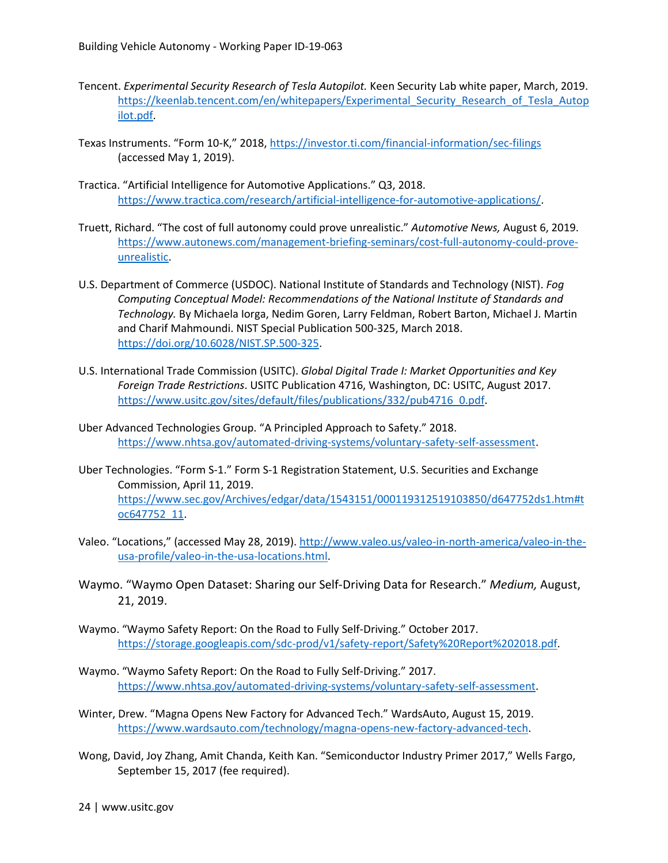- Tencent. *Experimental Security Research of Tesla Autopilot.* Keen Security Lab white paper, March, 2019. https://keenlab.tencent.com/en/whitepapers/Experimental Security Research of Tesla Autop [ilot.pdf.](https://keenlab.tencent.com/en/whitepapers/Experimental_Security_Research_of_Tesla_Autopilot.pdf)
- Texas Instruments. "Form 10-K," 2018,<https://investor.ti.com/financial-information/sec-filings> (accessed May 1, 2019).
- Tractica. "Artificial Intelligence for Automotive Applications." Q3, 2018. [https://www.tractica.com/research/artificial-intelligence-for-automotive-applications/.](https://www.tractica.com/research/artificial-intelligence-for-automotive-applications/)
- Truett, Richard. "The cost of full autonomy could prove unrealistic." *Automotive News,* August 6, 2019. [https://www.autonews.com/management-briefing-seminars/cost-full-autonomy-could-prove](https://www.autonews.com/management-briefing-seminars/cost-full-autonomy-could-prove-unrealistic)[unrealistic.](https://www.autonews.com/management-briefing-seminars/cost-full-autonomy-could-prove-unrealistic)
- U.S. Department of Commerce (USDOC). National Institute of Standards and Technology (NIST). *Fog Computing Conceptual Model: Recommendations of the National Institute of Standards and Technology.* By Michaela Iorga, Nedim Goren, Larry Feldman, Robert Barton, Michael J. Martin and Charif Mahmoundi. NIST Special Publication 500-325, March 2018. [https://doi.org/10.6028/NIST.SP.500-325.](https://doi.org/10.6028/NIST.SP.500-325)
- U.S. International Trade Commission (USITC). *Global Digital Trade I: Market Opportunities and Key Foreign Trade Restrictions*. USITC Publication 4716, Washington, DC: USITC, August 2017. [https://www.usitc.gov/sites/default/files/publications/332/pub4716\\_0.pdf.](https://www.usitc.gov/sites/default/files/publications/332/pub4716_0.pdf)
- Uber Advanced Technologies Group. "A Principled Approach to Safety." 2018. [https://www.nhtsa.gov/automated-driving-systems/voluntary-safety-self-assessment.](https://www.nhtsa.gov/automated-driving-systems/voluntary-safety-self-assessment)
- Uber Technologies. "Form S-1." Form S-1 Registration Statement, U.S. Securities and Exchange Commission, April 11, 2019. [https://www.sec.gov/Archives/edgar/data/1543151/000119312519103850/d647752ds1.htm#t](https://www.sec.gov/Archives/edgar/data/1543151/000119312519103850/d647752ds1.htm#toc647752_11) [oc647752\\_11.](https://www.sec.gov/Archives/edgar/data/1543151/000119312519103850/d647752ds1.htm#toc647752_11)
- Valeo. "Locations," (accessed May 28, 2019)[. http://www.valeo.us/valeo-in-north-america/valeo-in-the](http://www.valeo.us/valeo-in-north-america/valeo-in-the-usa-profile/valeo-in-the-usa-locations.html)[usa-profile/valeo-in-the-usa-locations.html.](http://www.valeo.us/valeo-in-north-america/valeo-in-the-usa-profile/valeo-in-the-usa-locations.html)
- Waymo. "Waymo Open Dataset: Sharing our Self-Driving Data for Research." *Medium,* August, 21, 2019.
- Waymo. "Waymo Safety Report: On the Road to Fully Self-Driving." October 2017. [https://storage.googleapis.com/sdc-prod/v1/safety-report/Safety%20Report%202018.pdf.](https://storage.googleapis.com/sdc-prod/v1/safety-report/Safety%20Report%202018.pdf)
- Waymo. "Waymo Safety Report: On the Road to Fully Self-Driving." 2017. [https://www.nhtsa.gov/automated-driving-systems/voluntary-safety-self-assessment.](https://www.nhtsa.gov/automated-driving-systems/voluntary-safety-self-assessment)
- Winter, Drew. "Magna Opens New Factory for Advanced Tech." WardsAuto, August 15, 2019. [https://www.wardsauto.com/technology/magna-opens-new-factory-advanced-tech.](https://www.wardsauto.com/technology/magna-opens-new-factory-advanced-tech)
- Wong, David, Joy Zhang, Amit Chanda, Keith Kan. "Semiconductor Industry Primer 2017," Wells Fargo, September 15, 2017 (fee required).